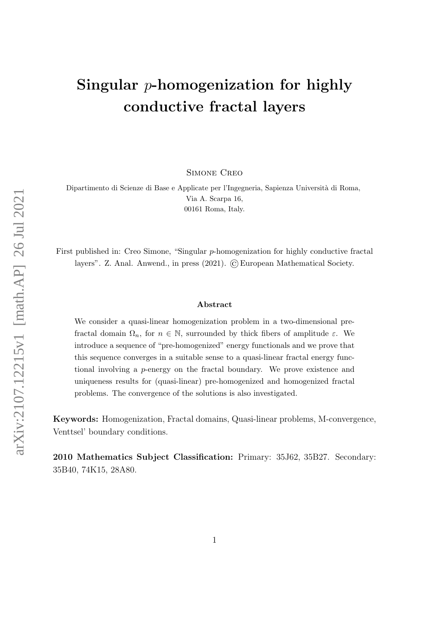# Singular  $p$ -homogenization for highly conductive fractal layers

Simone Creo

Dipartimento di Scienze di Base e Applicate per l'Ingegneria, Sapienza Universit`a di Roma, Via A. Scarpa 16, 00161 Roma, Italy.

First published in: Creo Simone, "Singular p-homogenization for highly conductive fractal layers". Z. Anal. Anwend., in press  $(2021)$ .  $\odot$  European Mathematical Society.

#### Abstract

We consider a quasi-linear homogenization problem in a two-dimensional prefractal domain  $\Omega_n$ , for  $n \in \mathbb{N}$ , surrounded by thick fibers of amplitude  $\varepsilon$ . We introduce a sequence of "pre-homogenized" energy functionals and we prove that this sequence converges in a suitable sense to a quasi-linear fractal energy functional involving a p-energy on the fractal boundary. We prove existence and uniqueness results for (quasi-linear) pre-homogenized and homogenized fractal problems. The convergence of the solutions is also investigated.

Keywords: Homogenization, Fractal domains, Quasi-linear problems, M-convergence, Venttsel' boundary conditions.

2010 Mathematics Subject Classification: Primary: 35J62, 35B27. Secondary: 35B40, 74K15, 28A80.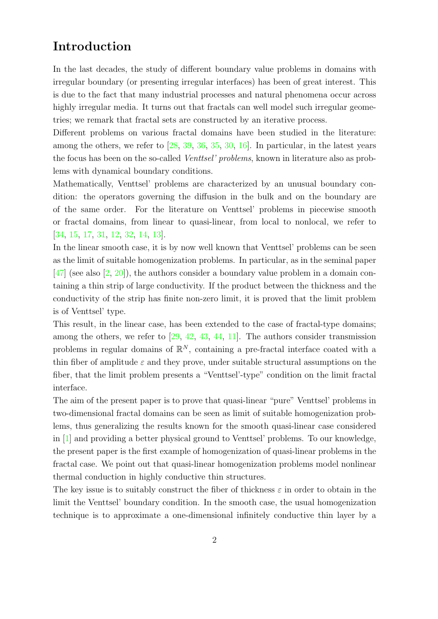# Introduction

In the last decades, the study of different boundary value problems in domains with irregular boundary (or presenting irregular interfaces) has been of great interest. This is due to the fact that many industrial processes and natural phenomena occur across highly irregular media. It turns out that fractals can well model such irregular geometries; we remark that fractal sets are constructed by an iterative process.

Different problems on various fractal domains have been studied in the literature: among the others, we refer to [\[28,](#page-27-0) [39,](#page-28-0) [36,](#page-27-1) [35,](#page-27-2) [30,](#page-27-3) [16\]](#page-26-0). In particular, in the latest years the focus has been on the so-called Venttsel' problems, known in literature also as problems with dynamical boundary conditions.

Mathematically, Venttsel' problems are characterized by an unusual boundary condition: the operators governing the diffusion in the bulk and on the boundary are of the same order. For the literature on Venttsel' problems in piecewise smooth or fractal domains, from linear to quasi-linear, from local to nonlocal, we refer to [\[34,](#page-27-4) [15,](#page-26-1) [17,](#page-26-2) [31,](#page-27-5) [12,](#page-26-3) [32,](#page-27-6) [14,](#page-26-4) [13\]](#page-26-5).

In the linear smooth case, it is by now well known that Venttsel' problems can be seen as the limit of suitable homogenization problems. In particular, as in the seminal paper  $[47]$  (see also  $[2, 20]$  $[2, 20]$ ), the authors consider a boundary value problem in a domain containing a thin strip of large conductivity. If the product between the thickness and the conductivity of the strip has finite non-zero limit, it is proved that the limit problem is of Venttsel' type.

This result, in the linear case, has been extended to the case of fractal-type domains; among the others, we refer to [\[29,](#page-27-7) [42,](#page-28-2) [43,](#page-28-3) [44,](#page-28-4) [11\]](#page-26-7). The authors consider transmission problems in regular domains of  $\mathbb{R}^N$ , containing a pre-fractal interface coated with a thin fiber of amplitude  $\varepsilon$  and they prove, under suitable structural assumptions on the fiber, that the limit problem presents a "Venttsel'-type" condition on the limit fractal interface.

The aim of the present paper is to prove that quasi-linear "pure" Venttsel' problems in two-dimensional fractal domains can be seen as limit of suitable homogenization problems, thus generalizing the results known for the smooth quasi-linear case considered in [\[1\]](#page-25-1) and providing a better physical ground to Venttsel' problems. To our knowledge, the present paper is the first example of homogenization of quasi-linear problems in the fractal case. We point out that quasi-linear homogenization problems model nonlinear thermal conduction in highly conductive thin structures.

The key issue is to suitably construct the fiber of thickness  $\varepsilon$  in order to obtain in the limit the Venttsel' boundary condition. In the smooth case, the usual homogenization technique is to approximate a one-dimensional infinitely conductive thin layer by a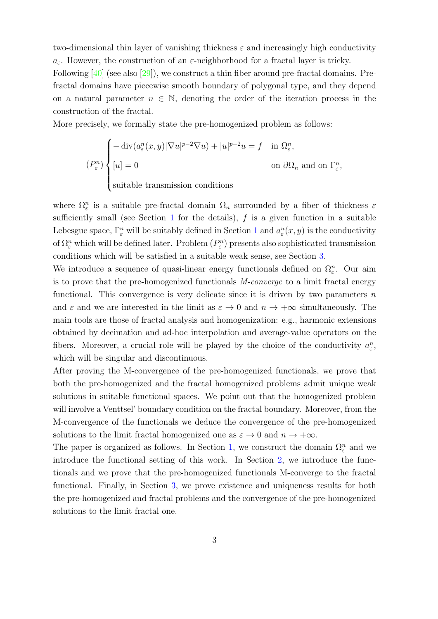two-dimensional thin layer of vanishing thickness  $\varepsilon$  and increasingly high conductivity  $a_{\varepsilon}$ . However, the construction of an  $\varepsilon$ -neighborhood for a fractal layer is tricky.

Following [\[40\]](#page-28-5) (see also [\[29\]](#page-27-7)), we construct a thin fiber around pre-fractal domains. Prefractal domains have piecewise smooth boundary of polygonal type, and they depend on a natural parameter  $n \in \mathbb{N}$ , denoting the order of the iteration process in the construction of the fractal.

More precisely, we formally state the pre-homogenized problem as follows:

$$
(P_{\varepsilon}^{n})\begin{cases}\n-\operatorname{div}(a_{\varepsilon}^{n}(x,y)|\nabla u|^{p-2}\nabla u)+|u|^{p-2}u=f & \text{in } \Omega_{\varepsilon}^{n}, \\
[u]=0 & \text{on } \partial\Omega_{n} \text{ and on } \Gamma_{\varepsilon}^{n},\n\end{cases}
$$
\nsuitable transmission conditions

where  $\Omega_{\varepsilon}^n$  is a suitable pre-fractal domain  $\Omega_n$  surrounded by a fiber of thickness  $\varepsilon$ sufficiently small (see Section [1](#page-3-0) for the details),  $f$  is a given function in a suitable Lebesgue space,  $\Gamma_{\varepsilon}^n$  will be suitably defined in Section [1](#page-3-0) and  $a_{\varepsilon}^n(x, y)$  is the conductivity of  $\Omega_{\varepsilon}^n$  which will be defined later. Problem  $(P_{\varepsilon}^n)$  presents also sophisticated transmission conditions which will be satisfied in a suitable weak sense, see Section [3.](#page-23-0)

We introduce a sequence of quasi-linear energy functionals defined on  $\Omega_{\varepsilon}^n$ . Our aim is to prove that the pre-homogenized functionals M-converge to a limit fractal energy functional. This convergence is very delicate since it is driven by two parameters  $n$ and  $\varepsilon$  and we are interested in the limit as  $\varepsilon \to 0$  and  $n \to +\infty$  simultaneously. The main tools are those of fractal analysis and homogenization: e.g., harmonic extensions obtained by decimation and ad-hoc interpolation and average-value operators on the fibers. Moreover, a crucial role will be played by the choice of the conductivity  $a_{\varepsilon}^n$ , which will be singular and discontinuous.

After proving the M-convergence of the pre-homogenized functionals, we prove that both the pre-homogenized and the fractal homogenized problems admit unique weak solutions in suitable functional spaces. We point out that the homogenized problem will involve a Venttsel' boundary condition on the fractal boundary. Moreover, from the M-convergence of the functionals we deduce the convergence of the pre-homogenized solutions to the limit fractal homogenized one as  $\varepsilon \to 0$  and  $n \to +\infty$ .

The paper is organized as follows. In Section [1,](#page-3-0) we construct the domain  $\Omega_{\varepsilon}^{n}$  and we introduce the functional setting of this work. In Section [2,](#page-7-0) we introduce the functionals and we prove that the pre-homogenized functionals M-converge to the fractal functional. Finally, in Section [3,](#page-23-0) we prove existence and uniqueness results for both the pre-homogenized and fractal problems and the convergence of the pre-homogenized solutions to the limit fractal one.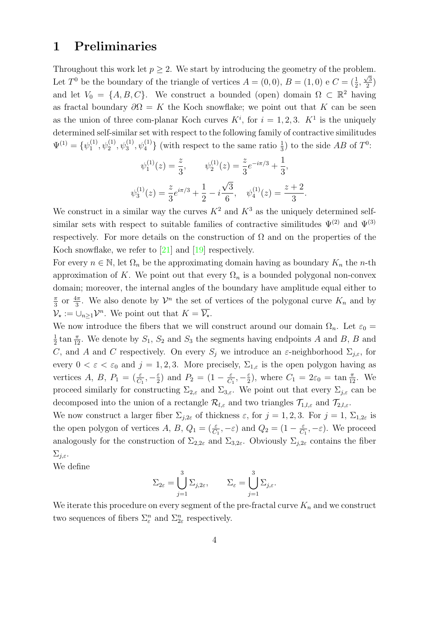#### <span id="page-3-0"></span>1 Preliminaries

Throughout this work let  $p > 2$ . We start by introducing the geometry of the problem. Let  $T^0$  be the boundary of the triangle of vertices  $A = (0,0), B = (1,0)$  e  $C = (\frac{1}{2}, \frac{1}{2})$  $\sqrt{3}$  $\frac{\sqrt{3}}{2}$ and let  $V_0 = \{A, B, C\}$ . We construct a bounded (open) domain  $\Omega \subset \mathbb{R}^2$  having as fractal boundary  $\partial \Omega = K$  the Koch snowflake; we point out that K can be seen as the union of three com-planar Koch curves  $K^i$ , for  $i = 1, 2, 3$ .  $K^1$  is the uniquely determined self-similar set with respect to the following family of contractive similitudes  $\Psi^{(1)} = {\psi_1^{(1)}}$  $\{1, 0, \psi_1^{(1)}, \psi_3^{(1)}, \psi_4^{(1)}\}$  (with respect to the same ratio  $\frac{1}{3}$ ) to the side AB of  $T^0$ :

$$
\psi_1^{(1)}(z) = \frac{z}{3}, \qquad \psi_2^{(1)}(z) = \frac{z}{3}e^{-i\pi/3} + \frac{1}{3},
$$
  

$$
\psi_3^{(1)}(z) = \frac{z}{3}e^{i\pi/3} + \frac{1}{2} - i\frac{\sqrt{3}}{6}, \quad \psi_4^{(1)}(z) = \frac{z+2}{3}.
$$

We construct in a similar way the curves  $K^2$  and  $K^3$  as the uniquely determined selfsimilar sets with respect to suitable families of contractive similitudes  $\Psi^{(2)}$  and  $\Psi^{(3)}$ respectively. For more details on the construction of  $\Omega$  and on the properties of the Koch snowflake, we refer to  $[21]$  and  $[19]$  respectively.

For every  $n \in \mathbb{N}$ , let  $\Omega_n$  be the approximating domain having as boundary  $K_n$  the n-th approximation of K. We point out that every  $\Omega_n$  is a bounded polygonal non-convex domain; moreover, the internal angles of the boundary have amplitude equal either to π  $\frac{\pi}{3}$  or  $\frac{4\pi}{3}$ . We also denote by  $\mathcal{V}^n$  the set of vertices of the polygonal curve  $K_n$  and by  $\mathcal{V}_\star := \cup_{n \geq 1} \mathcal{V}^n$ . We point out that  $K = \overline{\mathcal{V}_\star}$ .

We now introduce the fibers that we will construct around our domain  $\Omega_n$ . Let  $\varepsilon_0 =$ 1  $\frac{1}{2}$  tan  $\frac{\pi}{12}$ . We denote by  $S_1$ ,  $S_2$  and  $S_3$  the segments having endpoints A and B, B and C, and A and C respectively. On every  $S_j$  we introduce an  $\varepsilon$ -neighborhood  $\Sigma_{j,\varepsilon}$ , for every  $0 < \varepsilon < \varepsilon_0$  and  $j = 1, 2, 3$ . More precisely,  $\Sigma_{1,\varepsilon}$  is the open polygon having as vertices A, B,  $P_1 = (\frac{\varepsilon}{C_1}, -\frac{\varepsilon}{2})$  $\frac{\varepsilon}{2}$ ) and  $P_2 = (1 - \frac{\varepsilon}{C})$  $\frac{\varepsilon}{C_1}, -\frac{\varepsilon}{2}$  $\frac{\varepsilon}{2}$ , where  $C_1 = 2\varepsilon_0 = \tan \frac{\pi}{12}$ . We proceed similarly for constructing  $\Sigma_{2,\varepsilon}$  and  $\Sigma_{3,\varepsilon}$ . We point out that every  $\Sigma_{j,\varepsilon}$  can be decomposed into the union of a rectangle  $\mathcal{R}_{l,\varepsilon}$  and two triangles  $\mathcal{T}_{1,l,\varepsilon}$  and  $\mathcal{T}_{2,l,\varepsilon}$ .

We now construct a larger fiber  $\Sigma_{j,2\varepsilon}$  of thickness  $\varepsilon$ , for  $j=1,2,3$ . For  $j=1, \Sigma_{1,2\varepsilon}$  is the open polygon of vertices A, B,  $Q_1 = (\frac{\varepsilon}{C_1}, -\varepsilon)$  and  $Q_2 = (1 - \frac{\varepsilon}{C_1})$  $\frac{\varepsilon}{C_1}, -\varepsilon$ . We proceed analogously for the construction of  $\Sigma_{2,2\varepsilon}$  and  $\Sigma_{3,2\varepsilon}$ . Obviously  $\Sigma_{j,2\varepsilon}$  contains the fiber  $\Sigma_{i,\varepsilon}$ .

We define

$$
\Sigma_{2\varepsilon} = \bigcup_{j=1}^3 \Sigma_{j,2\varepsilon}, \qquad \Sigma_{\varepsilon} = \bigcup_{j=1}^3 \Sigma_{j,\varepsilon}.
$$

We iterate this procedure on every segment of the pre-fractal curve  $K_n$  and we construct two sequences of fibers  $\Sigma_{\varepsilon}^n$  and  $\Sigma_{2\varepsilon}^n$  respectively.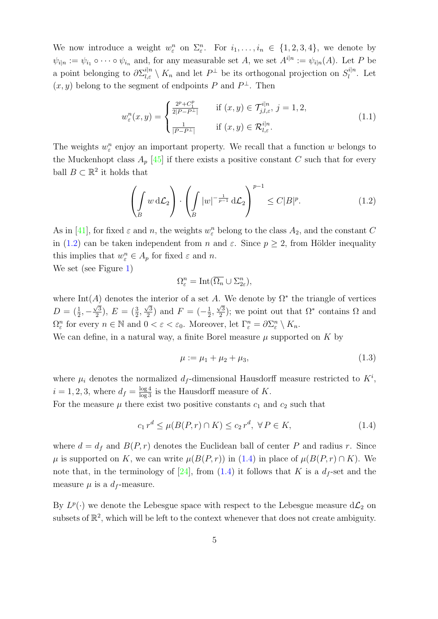We now introduce a weight  $w_{\varepsilon}^n$  on  $\Sigma_{\varepsilon}^n$ . For  $i_1, \ldots, i_n \in \{1, 2, 3, 4\}$ , we denote by  $\psi_{i|n} := \psi_{i_1} \circ \cdots \circ \psi_{i_n}$  and, for any measurable set A, we set  $A^{i|n} := \psi_{i|n}(A)$ . Let P be a point belonging to  $\partial \Sigma_{l,\varepsilon}^{i|n} \setminus K_n$  and let  $P^{\perp}$  be its orthogonal projection on  $S_l^{i|n}$  $\int_l^{l|n}$ . Let  $(x, y)$  belong to the segment of endpoints P and  $P^{\perp}$ . Then

<span id="page-4-3"></span>
$$
w_{\varepsilon}^{n}(x, y) = \begin{cases} \frac{2^{p} + C_{1}^{p}}{2|P - P^{\perp}|} & \text{if } (x, y) \in \mathcal{T}_{j, l, \varepsilon}^{i | n}, j = 1, 2, \\ \frac{1}{|P - P^{\perp}|} & \text{if } (x, y) \in \mathcal{R}_{l, \varepsilon}^{i | n}. \end{cases}
$$
(1.1)

The weights  $w_{\varepsilon}^n$  enjoy an important property. We recall that a function w belongs to the Muckenhopt class  $A_p$  [\[45\]](#page-28-6) if there exists a positive constant C such that for every ball  $B \subset \mathbb{R}^2$  it holds that

<span id="page-4-0"></span>
$$
\left(\int_{B} w \, d\mathcal{L}_2\right) \cdot \left(\int_{B} |w|^{-\frac{1}{p-1}} \, d\mathcal{L}_2\right)^{p-1} \leq C|B|^p. \tag{1.2}
$$

As in [\[41\]](#page-28-7), for fixed  $\varepsilon$  and n, the weights  $w_{\varepsilon}^n$  belong to the class  $A_2$ , and the constant C in [\(1.2\)](#page-4-0) can be taken independent from n and  $\varepsilon$ . Since  $p \geq 2$ , from Hölder inequality this implies that  $w_{\varepsilon}^n \in A_p$  for fixed  $\varepsilon$  and n.

We set (see Figure [1\)](#page-5-0)

$$
\Omega_{\varepsilon}^n = \text{Int}(\overline{\Omega_n} \cup \Sigma_{2\varepsilon}^n),
$$

where Int(A) denotes the interior of a set A. We denote by  $\Omega^*$  the triangle of vertices  $D = (\frac{1}{2}, -$ √ 3  $\frac{\sqrt{3}}{2}$ ),  $E = \left(\frac{3}{2}, \right)$  $\sqrt{3}$  $\frac{\sqrt{3}}{2}$ ) and  $F = \left(-\frac{1}{2}\right)$  $\frac{1}{2}$ , √ 3  $\frac{\sqrt{3}}{2}$ ; we point out that  $\Omega^*$  contains  $\Omega$  and  $\Omega_{\varepsilon}^n$  for every  $n \in \mathbb{N}$  and  $0 < \varepsilon < \varepsilon_0$ . Moreover, let  $\Gamma_{\varepsilon}^n = \partial \Sigma_{\varepsilon}^n \setminus K_n$ .

We can define, in a natural way, a finite Borel measure  $\mu$  supported on K by

<span id="page-4-2"></span>
$$
\mu := \mu_1 + \mu_2 + \mu_3,\tag{1.3}
$$

where  $\mu_i$  denotes the normalized  $d_f$ -dimensional Hausdorff measure restricted to  $K^i$ ,  $i = 1, 2, 3$ , where  $d_f = \frac{\log 4}{\log 3}$  is the Hausdorff measure of K.

For the measure  $\mu$  there exist two positive constants  $c_1$  and  $c_2$  such that

<span id="page-4-1"></span>
$$
c_1 r^d \le \mu(B(P, r) \cap K) \le c_2 r^d, \ \forall P \in K,\tag{1.4}
$$

where  $d = d_f$  and  $B(P, r)$  denotes the Euclidean ball of center P and radius r. Since  $\mu$  is supported on K, we can write  $\mu(B(P,r))$  in [\(1.4\)](#page-4-1) in place of  $\mu(B(P,r) \cap K)$ . We note that, in the terminology of [\[24\]](#page-27-8), from [\(1.4\)](#page-4-1) it follows that K is a  $d_f$ -set and the measure  $\mu$  is a  $d_f$ -measure.

By  $L^p(\cdot)$  we denote the Lebesgue space with respect to the Lebesgue measure  $d\mathcal{L}_2$  on subsets of  $\mathbb{R}^2$ , which will be left to the context whenever that does not create ambiguity.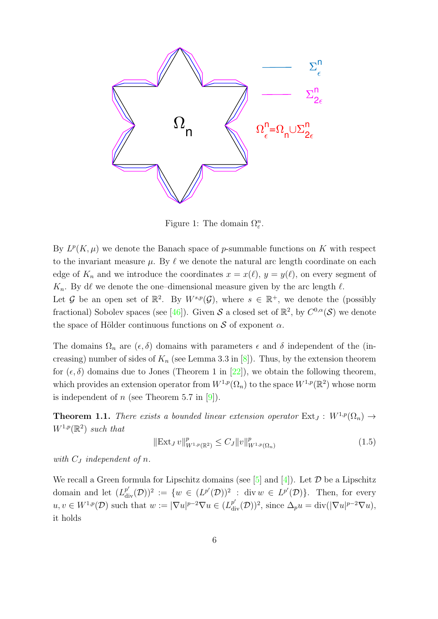

<span id="page-5-0"></span>Figure 1: The domain  $\Omega_{\varepsilon}^n$ .

By  $L^p(K,\mu)$  we<br>to the invariant<br>edge of  $K_n$  and<br> $K_n$ . By d $\ell$  we de<br>Let  $\mathcal G$  be an op<br>fractional) Sobol<br>the space of Höl<br>The domains  $\Omega_r$ <br>creasing) numbe By  $L^p(K,\mu)$  we denote the Banach space of p-summable functions on K with respect to the invariant measure  $\mu$ . By  $\ell$  we denote the natural arc length coordinate on each edge of  $K_n$  and we introduce the coordinates  $x = x(\ell), y = y(\ell)$ , on every segment of  $K_n$ . By d $\ell$  we denote the one–dimensional measure given by the arc length  $\ell$ .

Let G be an open set of  $\mathbb{R}^2$ . By  $W^{s,p}(\mathcal{G})$ , where  $s \in \mathbb{R}^+$ , we denote the (possibly fractional) Sobolev spaces (see [\[46\]](#page-28-8)). Given S a closed set of  $\mathbb{R}^2$ , by  $C^{0,\alpha}(\mathcal{S})$  we denote the space of Hölder continuous functions on  $\mathcal S$  of exponent  $\alpha$ .

The domains  $\Omega_n$  are  $(\epsilon, \delta)$  domains with parameters  $\epsilon$  and  $\delta$  independent of the (increasing) number of sides of  $K_n$  (see Lemma 3.3 in [\[8\]](#page-25-2)). Thus, by the extension theorem for  $(\epsilon, \delta)$  domains due to Jones (Theorem 1 in [\[22\]](#page-26-10)), we obtain the following theorem, which provides an extension operator from  $W^{1,p}(\Omega_n)$  to the space  $W^{1,p}(\mathbb{R}^2)$  whose norm is independent of n (see Theorem 5.7 in  $[9]$ ).

<span id="page-5-1"></span>**Theorem 1.1.** There exists a bounded linear extension operator  $Ext_J : W^{1,p}(\Omega_n) \to$  $W^{1,p}(\mathbb{R}^2)$  such that

$$
\|\operatorname{Ext}_J v\|_{W^{1,p}(\mathbb{R}^2)}^p \le C_J \|v\|_{W^{1,p}(\Omega_n)}^p \tag{1.5}
$$

with  $C_J$  independent of n.

We recall a Green formula for Lipschitz domains (see  $[5]$  and  $[4]$ ). Let  $\mathcal D$  be a Lipschitz domain and let  $(L_{div}^{p'}(\mathcal{D}))^2 := \{w \in (L^{p'}(\mathcal{D}))^2 : \text{div } w \in L^{p'}(\mathcal{D})\}.$  Then, for every  $u, v \in W^{1,p}(\mathcal{D})$  such that  $w := |\nabla u|^{p-2} \nabla u \in (L_{\text{div}}^{p'}(\mathcal{D}))^2$ , since  $\Delta_p u = \text{div}(|\nabla u|^{p-2} \nabla u)$ , it holds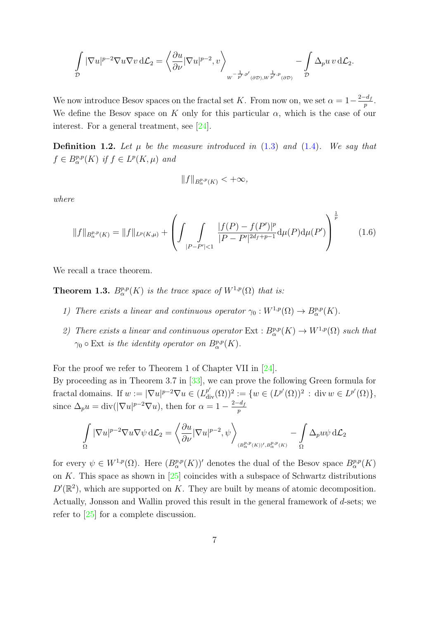$$
\int\limits_{\mathcal{D}} |\nabla u|^{p-2} \nabla u \nabla v \, d\mathcal{L}_2 = \left\langle \frac{\partial u}{\partial \nu} |\nabla u|^{p-2}, v \right\rangle_{W^{-\frac{1}{p'}, p'}(\partial \mathcal{D}), W^{\frac{1}{p'}, p}(\partial \mathcal{D})}} - \int\limits_{\mathcal{D}} \Delta_p u \, v \, d\mathcal{L}_2.
$$

We now introduce Besov spaces on the fractal set K. From now on, we set  $\alpha = 1 - \frac{2-d_f}{n}$  $\frac{a_f}{p}$  . We define the Besov space on K only for this particular  $\alpha$ , which is the case of our interest. For a general treatment, see [\[24\]](#page-27-8).

**Definition 1.2.** Let  $\mu$  be the measure introduced in [\(1.3\)](#page-4-2) and [\(1.4\)](#page-4-1). We say that  $f \in B^{p,p}_{\alpha}(K)$  if  $f \in L^p(K, \mu)$  and

$$
\|f\|_{B^{p,p}_{\alpha}(K)}<+\infty,
$$

where

$$
||f||_{B^{p,p}_{\alpha}(K)} = ||f||_{L^p(K,\mu)} + \left( \int \int \int \frac{|f(P) - f(P')|^p}{|P - P'|^{2d_f+p-1}} d\mu(P) d\mu(P') \right)^{\frac{1}{p}} \tag{1.6}
$$

We recall a trace theorem.

**Theorem 1.3.**  $B^{p,p}_{\alpha}(K)$  is the trace space of  $W^{1,p}(\Omega)$  that is:

- 1) There exists a linear and continuous operator  $\gamma_0: W^{1,p}(\Omega) \to B^{p,p}_{\alpha}(K)$ .
- 2) There exists a linear and continuous operator  $Ext : B^{p,p}_{\alpha}(K) \to W^{1,p}(\Omega)$  such that  $\gamma_0 \circ \text{Ext}$  is the identity operator on  $B^{p,p}_{\alpha}(K)$ .

For the proof we refer to Theorem 1 of Chapter VII in [\[24\]](#page-27-8). By proceeding as in Theorem 3.7 in [\[33\]](#page-27-9), we can prove the following Green formula for fractal domains. If  $w := |\nabla u|^{p-2} \nabla u \in (L_{\text{div}}^{p'}(\Omega))^2 := \{w \in (L^{p'}(\Omega))^2 : \text{div } w \in L^{p'}(\Omega)\},\$ since  $\Delta_p u = \text{div}(|\nabla u|^{p-2} \nabla u)$ , then for  $\alpha = 1 - \frac{2-d_f}{n}$ p

$$
\int\limits_{\Omega} |\nabla u|^{p-2}\nabla u \nabla \psi \,d\mathcal{L}_2 = \left\langle \frac{\partial u}{\partial \nu} |\nabla u|^{p-2}, \psi \right\rangle_{(B^{p,p}_{\alpha}(K))',B^{p,p}_{\alpha}(K)} - \int\limits_{\Omega} \Delta_p u \psi \,d\mathcal{L}_2
$$

for every  $\psi \in W^{1,p}(\Omega)$ . Here  $(B^{p,p}_{\alpha}(K))'$  denotes the dual of the Besov space  $B^{p,p}_{\alpha}(K)$ on K. This space as shown in  $\left[25\right]$  coincides with a subspace of Schwartz distributions  $D'(\mathbb{R}^2)$ , which are supported on K. They are built by means of atomic decomposition. Actually, Jonsson and Wallin proved this result in the general framework of d-sets; we refer to [\[25\]](#page-27-10) for a complete discussion.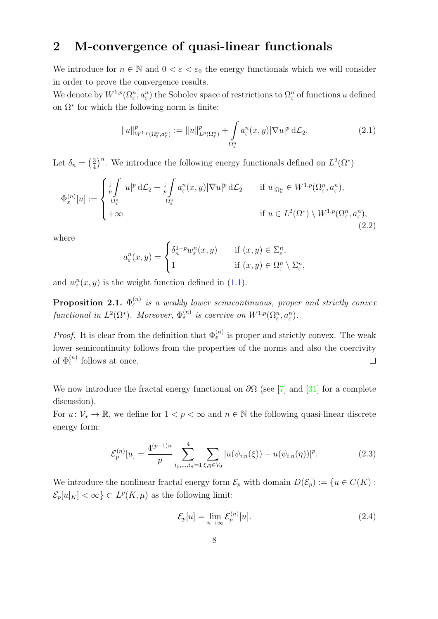# <span id="page-7-0"></span>2 M-convergence of quasi-linear functionals

We introduce for  $n \in \mathbb{N}$  and  $0 < \varepsilon < \varepsilon_0$  the energy functionals which we will consider in order to prove the convergence results.

We denote by  $W^{1,p}(\Omega^n_\varepsilon,a^n_\varepsilon)$  the Sobolev space of restrictions to  $\Omega^n_\varepsilon$  of functions u defined on  $\Omega^*$  for which the following norm is finite:

$$
||u||_{W^{1,p}(\Omega_{\varepsilon}^n, a_{\varepsilon}^n)}^p := ||u||_{L^p(\Omega_{\varepsilon}^n)}^p + \int_{\Omega_{\varepsilon}^n} a_{\varepsilon}^n(x, y) |\nabla u|^p d\mathcal{L}_2.
$$
 (2.1)

Let  $\delta_n = \left(\frac{3}{4}\right)$  $\frac{3}{4}$ <sup>n</sup>. We introduce the following energy functionals defined on  $L^2(\Omega^*)$ 

<span id="page-7-1"></span>
$$
\Phi_{\varepsilon}^{(n)}[u] := \begin{cases} \frac{1}{p} \int_{\Omega_{\varepsilon}^{n}} |u|^{p} d\mathcal{L}_{2} + \frac{1}{p} \int_{\Omega_{\varepsilon}^{n}} a_{\varepsilon}^{n}(x, y) |\nabla u|^{p} d\mathcal{L}_{2} & \text{if } u|_{\Omega_{\varepsilon}^{n}} \in W^{1, p}(\Omega_{\varepsilon}^{n}, a_{\varepsilon}^{n}), \\ +\infty & \text{if } u \in L^{2}(\Omega^{*}) \setminus W^{1, p}(\Omega_{\varepsilon}^{n}, a_{\varepsilon}^{n}), \end{cases}
$$
\n
$$
(2.2)
$$

where

$$
a_{\varepsilon}^{n}(x, y) = \begin{cases} \delta_{n}^{1-p} w_{\varepsilon}^{n}(x, y) & \text{if } (x, y) \in \Sigma_{\varepsilon}^{n}, \\ 1 & \text{if } (x, y) \in \Omega_{\varepsilon}^{n} \setminus \overline{\Sigma_{\varepsilon}^{n}}, \end{cases}
$$

and  $w_{\varepsilon}^{n}(x, y)$  is the weight function defined in [\(1.1\)](#page-4-3).

<span id="page-7-2"></span>**Proposition 2.1.**  $\Phi_{\varepsilon}^{(n)}$  is a weakly lower semicontinuous, proper and strictly convex functional in  $L^2(\Omega^*)$ . Moreover,  $\Phi_{\varepsilon}^{(n)}$  is coercive on  $W^{1,p}(\Omega_{\varepsilon}^n, a_{\varepsilon}^n)$ .

*Proof.* It is clear from the definition that  $\Phi_{\varepsilon}^{(n)}$  is proper and strictly convex. The weak lower semicontinuity follows from the properties of the norms and also the coercivity of  $\Phi_{\varepsilon}^{(n)}$  follows at once.  $\Box$ 

We now introduce the fractal energy functional on  $\partial\Omega$  (see [\[7\]](#page-25-5) and [\[31\]](#page-27-5) for a complete discussion).

For  $u: \mathcal{V}_* \to \mathbb{R}$ , we define for  $1 < p < \infty$  and  $n \in \mathbb{N}$  the following quasi-linear discrete energy form:

$$
\mathcal{E}_p^{(n)}[u] = \frac{4^{(p-1)n}}{p} \sum_{i_1,\dots,i_n=1}^4 \sum_{\xi,\eta \in V_0} |u(\psi_{i|n}(\xi)) - u(\psi_{i|n}(\eta))|^p. \tag{2.3}
$$

We introduce the nonlinear fractal energy form  $\mathcal{E}_p$  with domain  $D(\mathcal{E}_p) := \{u \in C(K) :$  $\mathcal{E}_p[u|_K] < \infty$   $\subset L^p(K,\mu)$  as the following limit:

$$
\mathcal{E}_p[u] = \lim_{n \to \infty} \mathcal{E}_p^{(n)}[u]. \tag{2.4}
$$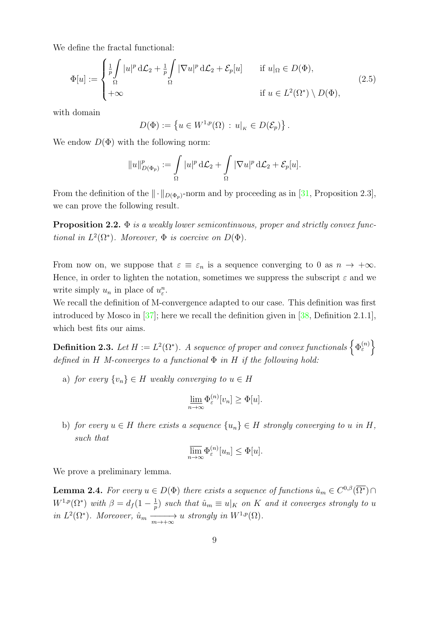We define the fractal functional:

<span id="page-8-0"></span>
$$
\Phi[u] := \begin{cases} \frac{1}{p} \int_{\Omega} |u|^p \, d\mathcal{L}_2 + \frac{1}{p} \int_{\Omega} |\nabla u|^p \, d\mathcal{L}_2 + \mathcal{E}_p[u] & \text{if } u|_{\Omega} \in D(\Phi), \\ +\infty & \text{if } u \in L^2(\Omega^*) \setminus D(\Phi), \end{cases} \tag{2.5}
$$

with domain

$$
D(\Phi) := \left\{ u \in W^{1,p}(\Omega) \, : \, u|_K \in D(\mathcal{E}_p) \right\}.
$$

We endow  $D(\Phi)$  with the following norm:

$$
||u||_{D(\Phi_p)}^p := \int_{\Omega} |u|^p d\mathcal{L}_2 + \int_{\Omega} |\nabla u|^p d\mathcal{L}_2 + \mathcal{E}_p[u].
$$

From the definition of the  $\|\cdot\|_{D(\Phi_p)}$ -norm and by proceeding as in [\[31,](#page-27-5) Proposition 2.3], we can prove the following result.

<span id="page-8-2"></span>**Proposition 2.2.**  $\Phi$  is a weakly lower semicontinuous, proper and strictly convex functional in  $L^2(\Omega^*)$ . Moreover,  $\Phi$  is coercive on  $D(\Phi)$ .

From now on, we suppose that  $\varepsilon \equiv \varepsilon_n$  is a sequence converging to 0 as  $n \to +\infty$ . Hence, in order to lighten the notation, sometimes we suppress the subscript  $\varepsilon$  and we write simply  $u_n$  in place of  $u_\varepsilon^n$ .

We recall the definition of M-convergence adapted to our case. This definition was first introduced by Mosco in [\[37\]](#page-28-9); here we recall the definition given in [\[38,](#page-28-10) Definition 2.1.1], which best fits our aims.

**Definition 2.3.** Let  $H := L^2(\Omega^*)$ . A sequence of proper and convex functionals  $\left\{\Phi_{\varepsilon}^{(n)}\right\}$ defined in H M-converges to a functional  $\Phi$  in H if the following hold:

a) for every  $\{v_n\} \in H$  weakly converging to  $u \in H$ 

$$
\underline{\lim}_{n\to\infty}\Phi_{\varepsilon}^{(n)}[v_n]\geq\Phi[u].
$$

b) for every  $u \in H$  there exists a sequence  $\{u_n\} \in H$  strongly converging to u in H, such that

$$
\overline{\lim}_{n \to \infty} \Phi_{\varepsilon}^{(n)}[u_n] \leq \Phi[u].
$$

We prove a preliminary lemma.

<span id="page-8-1"></span>**Lemma 2.4.** For every  $u \in D(\Phi)$  there exists a sequence of functions  $\hat{u}_m \in C^{0,\beta}(\overline{\Omega^*}) \cap$  $W^{1,p}(\Omega^*)$  with  $\beta = d_f(1-\frac{1}{n})$  $\frac{1}{p}$ ) such that  $\hat{u}_m \equiv u|_K$  on K and it converges strongly to u in  $L^2(\Omega^*)$ . Moreover,  $\hat{u}_m \xrightarrow[m \to +\infty]{} u$  strongly in  $W^{1,p}(\Omega)$ .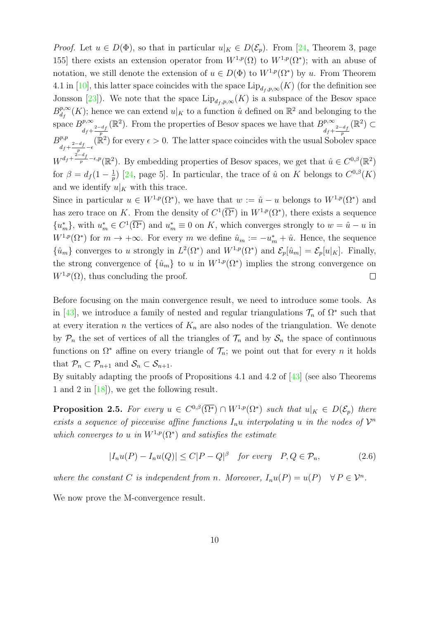*Proof.* Let  $u \in D(\Phi)$ , so that in particular  $u|_K \in D(\mathcal{E}_p)$ . From [\[24,](#page-27-8) Theorem 3, page 155] there exists an extension operator from  $W^{1,p}(\Omega)$  to  $W^{1,p}(\Omega^*)$ ; with an abuse of notation, we still denote the extension of  $u \in D(\Phi)$  to  $W^{1,p}(\Omega^*)$  by u. From Theorem 4.1 in [\[10\]](#page-26-12), this latter space coincides with the space  $\text{Lip}_{d_f,p,\infty}(K)$  (for the definition see Jonsson [\[23\]](#page-27-11)). We note that the space  $\text{Lip}_{d_f,p,\infty}(K)$  is a subspace of the Besov space  $B^{p,\infty}_{d}$  $\frac{d^{p,\infty}}{dt}(K)$ ; hence we can extend  $u|_K$  to a function  $\hat{u}$  defined on  $\mathbb{R}^2$  and belonging to the space  $B^{p,\infty}$  $d_f + \frac{2-d_f}{p}$  $(\mathbb{R}^2)$ . From the properties of Besov spaces we have that  $B^{\nu,\infty}$  $d_f + \frac{2-d_f}{p}$  $(\mathbb{R}^2)$  ⊂  $B^{p,p}$  $d_f + \frac{2-d_f}{p} - \epsilon$  $(\mathbb{R}^2)$  for every  $\epsilon > 0$ . The latter space coincides with the usual Sobolev space  $W^{d_f+\frac{2-d_f}{p}-\epsilon,p}(\mathbb{R}^2)$ . By embedding properties of Besov spaces, we get that  $\hat{u} \in C^{0,\beta}(\mathbb{R}^2)$ for  $\beta = d_f (1 - \frac{1}{n})$  $\frac{1}{p}$ ) [\[24,](#page-27-8) page 5]. In particular, the trace of  $\hat{u}$  on K belongs to  $C^{0,\beta}(K)$ and we identify  $u|_K$  with this trace. Since in particular  $u \in W^{1,p}(\Omega^*)$ , we have that  $w := \hat{u} - u$  belongs to  $W^{1,p}(\Omega^*)$  and has zero trace on K. From the density of  $C^1(\overline{\Omega^*})$  in  $W^{1,p}(\Omega^*)$ , there exists a sequence  ${u_m^*},$  with  $u_m^* \in C^1(\overline{\Omega^*})$  and  $u_m^* \equiv 0$  on K, which converges strongly to  $w = \hat{u} - u$  in

 $W^{1,p}(\Omega^*)$  for  $m \to +\infty$ . For every m we define  $\hat{u}_m := -u_m^* + \hat{u}$ . Hence, the sequence  $\{\hat{u}_m\}$  converges to u strongly in  $L^2(\Omega^*)$  and  $W^{1,p}(\Omega^*)$  and  $\mathcal{E}_p[\hat{u}_m] = \mathcal{E}_p[u|_K]$ . Finally, the strong convergence of  $\{\hat{u}_m\}$  to u in  $W^{1,p}(\Omega^*)$  implies the strong convergence on  $W^{1,p}(\Omega)$ , thus concluding the proof.  $\Box$ 

Before focusing on the main convergence result, we need to introduce some tools. As in [\[43\]](#page-28-3), we introduce a family of nested and regular triangulations  $\mathcal{T}_n$  of  $\Omega^*$  such that at every iteration n the vertices of  $K_n$  are also nodes of the triangulation. We denote by  $P_n$  the set of vertices of all the triangles of  $\mathcal{T}_n$  and by  $\mathcal{S}_n$  the space of continuous functions on  $\Omega^*$  affine on every triangle of  $\mathcal{T}_n$ ; we point out that for every n it holds that  $\mathcal{P}_n \subset \mathcal{P}_{n+1}$  and  $\mathcal{S}_n \subset \mathcal{S}_{n+1}$ .

By suitably adapting the proofs of Propositions 4.1 and 4.2 of [\[43\]](#page-28-3) (see also Theorems 1 and 2 in [\[18\]](#page-26-13)), we get the following result.

<span id="page-9-0"></span>**Proposition 2.5.** For every  $u \in C^{0,\beta}(\overline{\Omega^*}) \cap W^{1,p}(\Omega^*)$  such that  $u|_K \in D(\mathcal{E}_p)$  there exists a sequence of piecewise affine functions  $I_n u$  interpolating u in the nodes of  $\mathcal{V}^n$ which converges to u in  $W^{1,p}(\Omega^*)$  and satisfies the estimate

$$
|I_n u(P) - I_n u(Q)| \le C|P - Q|^{\beta} \quad \text{for every} \quad P, Q \in \mathcal{P}_n,\tag{2.6}
$$

where the constant C is independent from n. Moreover,  $I_n u(P) = u(P) \quad \forall P \in \mathcal{V}^n$ .

We now prove the M-convergence result.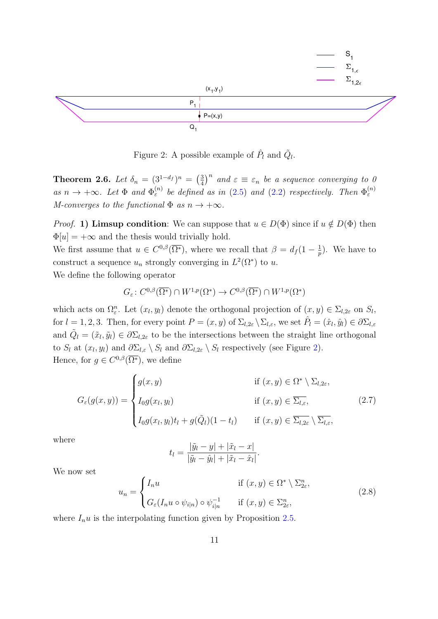

<span id="page-10-0"></span>Figure 2: A possible example of  $\hat{P}_l$  and  $\tilde{Q}_l$ .

**Theorem 2.6.** Let  $\delta_n = (3^{1-d_f})^n = \left(\frac{3}{4}\right)^n$  $\frac{3}{4}$ <sup>n</sup> and  $\varepsilon \equiv \varepsilon_n$  be a sequence converging to 0 as  $n \to +\infty$ . Let  $\Phi$  and  $\Phi_{\varepsilon}^{(n)}$  be defined as in [\(2.5\)](#page-8-0) and [\(2.2\)](#page-7-1) respectively. Then  $\Phi_{\varepsilon}^{(n)}$ M-converges to the functional  $\Phi$  as  $n \to +\infty$ .

 $\Phi[u] = +\infty$  and the thesis would trivially hold. *Proof.* 1) Limsup condition: We can suppose that  $u \in D(\Phi)$  since if  $u \notin D(\Phi)$  then

We first assume that  $u \in C^{0,\beta}(\overline{\Omega^*})$ , where we recall that  $\beta = d_f(1 - \frac{1}{n})$  $(\frac{1}{p})$ . We have to construct a sequence  $u_n$  strongly converging in  $L^2(\Omega^*)$  to u.

We define the following operator

$$
G_{\varepsilon} \colon C^{0,\beta}(\overline{\Omega^*}) \cap W^{1,p}(\Omega^*) \to C^{0,\beta}(\overline{\Omega^*}) \cap W^{1,p}(\Omega^*)
$$

 $\mathbf{T}\mathbf{h}$  as  $M$ - $Pr$   $\Phi$   $[\imath \ \mathbf{W}\mathbf{e}]$  exponentially power and to the He: which acts on  $\Omega^n_{\varepsilon}$ . Let  $(x_l, y_l)$  denote the orthogonal projection of  $(x, y) \in \Sigma_{l, 2\varepsilon}$  on  $S_l$ , for  $l = 1, 2, 3$ . Then, for every point  $P = (x, y)$  of  $\Sigma_{l, 2\varepsilon} \setminus \Sigma_{l, \varepsilon}$ , we set  $\hat{P}_l = (\hat{x}_l, \hat{y}_l) \in \partial \Sigma_{l, \varepsilon}$ and  $\tilde{Q}_l = (\tilde{x}_l, \tilde{y}_l) \in \partial \Sigma_{l,2\varepsilon}$  to be the intersections between the straight line orthogonal to  $S_l$  at  $(x_l, y_l)$  and  $\partial \Sigma_{l,\varepsilon} \setminus S_l$  and  $\partial \Sigma_{l,2\varepsilon} \setminus S_l$  respectively (see Figure [2\)](#page-10-0). Hence, for  $g \in C^{0,\beta}(\overline{\Omega^*})$ , we define

$$
G_{\varepsilon}(g(x,y)) = \begin{cases} g(x,y) & \text{if } (x,y) \in \Omega^* \setminus \Sigma_{l,2\varepsilon}, \\ I_0 g(x_l, y_l) & \text{if } (x,y) \in \overline{\Sigma_{l,\varepsilon}}, \\ I_0 g(x_l, y_l) t_l + g(\tilde{Q}_l)(1-t_l) & \text{if } (x,y) \in \overline{\Sigma_{l,2\varepsilon}} \setminus \overline{\Sigma_{l,\varepsilon}}, \end{cases}
$$
(2.7)

where

$$
t_l = \frac{|\tilde{y}_l - y| + |\tilde{x}_l - x|}{|\tilde{y}_l - \hat{y}_l| + |\tilde{x}_l - \hat{x}_l|}.
$$

We now set

$$
u_n = \begin{cases} I_n u & \text{if } (x, y) \in \Omega^* \setminus \Sigma^n_{2\varepsilon}, \\ G_{\varepsilon}(I_n u \circ \psi_{i|n}) \circ \psi_{i|n}^{-1} & \text{if } (x, y) \in \Sigma^n_{2\varepsilon}, \end{cases}
$$
(2.8)

where  $I_n u$  is the interpolating function given by Proposition [2.5.](#page-9-0)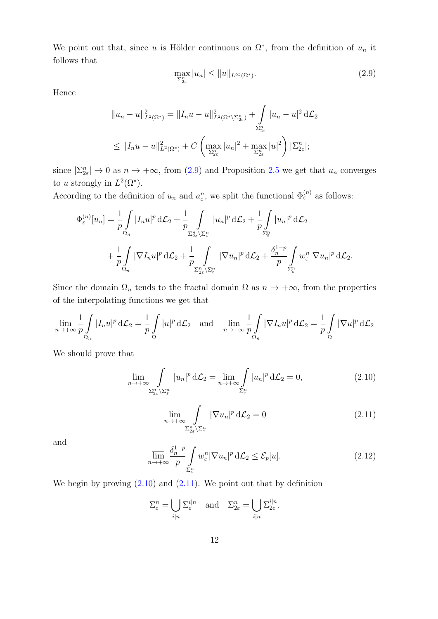We point out that, since u is Hölder continuous on  $\Omega^*$ , from the definition of  $u_n$  it follows that

<span id="page-11-0"></span>
$$
\max_{\Sigma_{2\varepsilon}^n} |u_n| \le ||u||_{L^\infty(\Omega^*)}.\tag{2.9}
$$

Hence

$$
||u_n - u||_{L^2(\Omega^*)}^2 = ||I_n u - u||_{L^2(\Omega^*)}^2 + \int_{\Sigma_{2\varepsilon}^n} |u_n - u|^2 d\mathcal{L}_2
$$
  

$$
\leq ||I_n u - u||_{L^2(\Omega^*)}^2 + C \left( \max_{\Sigma_{2\varepsilon}^n} |u_n|^2 + \max_{\Sigma_{2\varepsilon}^n} |u|^2 \right) |\Sigma_{2\varepsilon}^n|;
$$

since  $|\Sigma_{2\varepsilon}^n| \to 0$  as  $n \to +\infty$ , from [\(2.9\)](#page-11-0) and Proposition [2.5](#page-9-0) we get that  $u_n$  converges to u strongly in  $L^2(\Omega^* )$ .

According to the definition of  $u_n$  and  $a_\varepsilon^n$ , we split the functional  $\Phi_{\varepsilon}^{(n)}$  as follows:

$$
\Phi_{\varepsilon}^{(n)}[u_n] = \frac{1}{p} \int_{\Omega_n} |I_n u|^p \, d\mathcal{L}_2 + \frac{1}{p} \int_{\Sigma_{2\varepsilon}^n \backslash \Sigma_{\varepsilon}^n} |u_n|^p \, d\mathcal{L}_2 + \frac{1}{p} \int_{\Sigma_{\varepsilon}^n} |u_n|^p \, d\mathcal{L}_2
$$

$$
+ \frac{1}{p} \int_{\Omega_n} |\nabla I_n u|^p \, d\mathcal{L}_2 + \frac{1}{p} \int_{\Sigma_{2\varepsilon}^n \backslash \Sigma_{\varepsilon}^n} |\nabla u_n|^p \, d\mathcal{L}_2 + \frac{\delta_n^{1-p}}{p} \int_{\Sigma_{\varepsilon}^n} w_{\varepsilon}^n |\nabla u_n|^p \, d\mathcal{L}_2.
$$

Since the domain  $\Omega_n$  tends to the fractal domain  $\Omega$  as  $n \to +\infty$ , from the properties of the interpolating functions we get that

$$
\lim_{n \to +\infty} \frac{1}{p} \int_{\Omega_n} |I_n u|^p d\mathcal{L}_2 = \frac{1}{p} \int_{\Omega} |u|^p d\mathcal{L}_2 \quad \text{and} \quad \lim_{n \to +\infty} \frac{1}{p} \int_{\Omega_n} |\nabla I_n u|^p d\mathcal{L}_2 = \frac{1}{p} \int_{\Omega} |\nabla u|^p d\mathcal{L}_2
$$

We should prove that

<span id="page-11-1"></span>
$$
\lim_{n \to +\infty} \int_{\Sigma_{\varepsilon}^n \setminus \Sigma_{\varepsilon}^n} |u_n|^p d\mathcal{L}_2 = \lim_{n \to +\infty} \int_{\Sigma_{\varepsilon}^n} |u_n|^p d\mathcal{L}_2 = 0,
$$
\n(2.10)

<span id="page-11-2"></span>
$$
\lim_{n \to +\infty} \int_{\Sigma_{2\varepsilon}^n \backslash \Sigma_{\varepsilon}^n} |\nabla u_n|^p d\mathcal{L}_2 = 0 \tag{2.11}
$$

and

<span id="page-11-4"></span>
$$
\overline{\lim}_{n \to +\infty} \frac{\delta_n^{1-p}}{p} \int\limits_{\Sigma_{\varepsilon}^n} w_{\varepsilon}^n |\nabla u_n|^p d\mathcal{L}_2 \le \mathcal{E}_p[u]. \tag{2.12}
$$

We begin by proving  $(2.10)$  and  $(2.11)$ . We point out that by definition

<span id="page-11-3"></span>
$$
\Sigma_{\varepsilon}^{n} = \bigcup_{i|n} \Sigma_{\varepsilon}^{i|n} \quad \text{and} \quad \Sigma_{2\varepsilon}^{n} = \bigcup_{i|n} \Sigma_{2\varepsilon}^{i|n}.
$$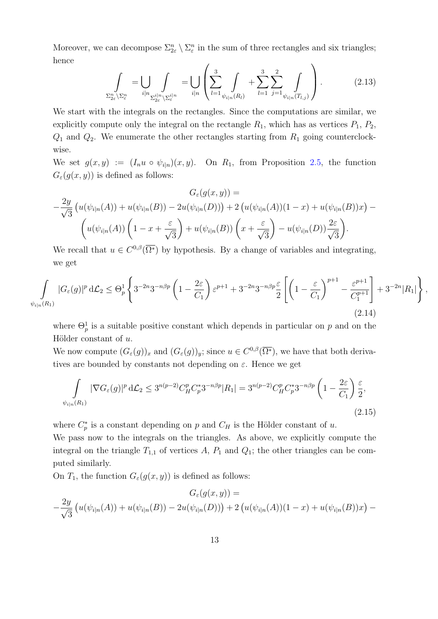Moreover, we can decompose  $\Sigma_{2\varepsilon}^n \setminus \Sigma_{\varepsilon}^n$  in the sum of three rectangles and six triangles; hence

$$
\int_{\Sigma_{2\varepsilon}^n \setminus \Sigma_{\varepsilon}^n} = \bigcup_{i|n} \int_{\Sigma_{2\varepsilon}^{i|n} \setminus \Sigma_{\varepsilon}^{i|n}} = \bigcup_{i|n} \left( \sum_{l=1}^3 \int_{\psi_{i|n}(R_l)} + \sum_{l=1}^3 \sum_{j=1}^2 \int_{\psi_{i|n}(T_{l,j})} \right).
$$
(2.13)

We start with the integrals on the rectangles. Since the computations are similar, we explicitly compute only the integral on the rectangle  $R_1$ , which has as vertices  $P_1$ ,  $P_2$ ,  $Q_1$  and  $Q_2$ . We enumerate the other rectangles starting from  $R_1$  going counterclockwise.

We set  $g(x, y) := (I_n u \circ \psi_{i|n})(x, y)$ . On  $R_1$ , from Proposition [2.5,](#page-9-0) the function  $G_{\varepsilon}(g(x, y))$  is defined as follows:

$$
G_{\varepsilon}(g(x,y)) =
$$
  

$$
-\frac{2y}{\sqrt{3}} \left( u(\psi_{i|n}(A)) + u(\psi_{i|n}(B)) - 2u(\psi_{i|n}(D)) \right) + 2 \left( u(\psi_{i|n}(A))(1-x) + u(\psi_{i|n}(B))x \right) -
$$
  

$$
\left( u(\psi_{i|n}(A)) \left( 1 - x + \frac{\varepsilon}{\sqrt{3}} \right) + u(\psi_{i|n}(B)) \left( x + \frac{\varepsilon}{\sqrt{3}} \right) - u(\psi_{i|n}(D)) \frac{2\varepsilon}{\sqrt{3}} \right).
$$

We recall that  $u \in C^{0,\beta}(\overline{\Omega^*})$  by hypothesis. By a change of variables and integrating, we get

<span id="page-12-0"></span>
$$
\int_{\psi_{i|n}(R_1)} |G_{\varepsilon}(g)|^p d\mathcal{L}_2 \leq \Theta_p^1 \left\{ 3^{-2n} 3^{-n\beta p} \left( 1 - \frac{2\varepsilon}{C_1} \right) \varepsilon^{p+1} + 3^{-2n} 3^{-n\beta p} \frac{\varepsilon}{2} \left[ \left( 1 - \frac{\varepsilon}{C_1} \right)^{p+1} - \frac{\varepsilon^{p+1}}{C_1^{p+1}} \right] + 3^{-2n} |R_1| \right\},\tag{2.14}
$$

where  $\Theta_p^1$  is a suitable positive constant which depends in particular on p and on the Hölder constant of  $u$ .

We now compute  $(G_{\varepsilon}(g))_x$  and  $(G_{\varepsilon}(g))_y$ ; since  $u \in C^{0,\beta}(\overline{\Omega^*})$ , we have that both derivatives are bounded by constants not depending on  $\varepsilon$ . Hence we get

<span id="page-12-1"></span>
$$
\int_{\psi_{i|n}(R_1)} |\nabla G_{\varepsilon}(g)|^p d\mathcal{L}_2 \le 3^{n(p-2)} C_H^p C_p^* 3^{-n\beta p} |R_1| = 3^{n(p-2)} C_H^p C_p^* 3^{-n\beta p} \left(1 - \frac{2\varepsilon}{C_1}\right) \frac{\varepsilon}{2},\tag{2.15}
$$

where  $C_p^*$  is a constant depending on p and  $C_H$  is the Hölder constant of u.

We pass now to the integrals on the triangles. As above, we explicitly compute the integral on the triangle  $T_{1,1}$  of vertices A,  $P_1$  and  $Q_1$ ; the other triangles can be computed similarly.

On  $T_1$ , the function  $G_{\varepsilon}(g(x, y))$  is defined as follows:

$$
G_{\varepsilon}(g(x, y)) =
$$
  

$$
-\frac{2y}{\sqrt{3}}\left(u(\psi_{i|n}(A)) + u(\psi_{i|n}(B)) - 2u(\psi_{i|n}(D))\right) + 2\left(u(\psi_{i|n}(A))(1 - x) + u(\psi_{i|n}(B))x\right) -
$$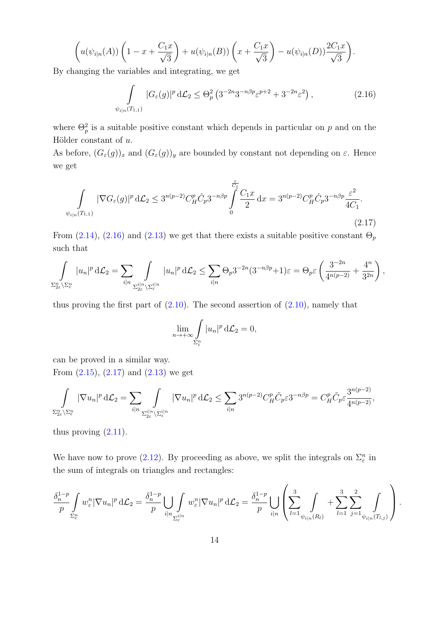$$
\left(u(\psi_{i|n}(A))\left(1-x+\frac{C_1x}{\sqrt{3}}\right)+u(\psi_{i|n}(B))\left(x+\frac{C_1x}{\sqrt{3}}\right)-u(\psi_{i|n}(D))\frac{2C_1x}{\sqrt{3}}\right).
$$

By changing the variables and integrating, we get

<span id="page-13-0"></span>
$$
\int_{\psi_{i|n}(T_{1,1})} |G_{\varepsilon}(g)|^p d\mathcal{L}_2 \leq \Theta_p^2 \left( 3^{-2n} 3^{-n\beta p} \varepsilon^{p+2} + 3^{-2n} \varepsilon^2 \right),\tag{2.16}
$$

where  $\Theta_p^2$  is a suitable positive constant which depends in particular on p and on the Hölder constant of  $u$ .

As before,  $(G_{\varepsilon}(g))_x$  and  $(G_{\varepsilon}(g))_y$  are bounded by constant not depending on  $\varepsilon$ . Hence we get

<span id="page-13-1"></span>
$$
\int_{\psi_{i|n}(T_{1,1})} |\nabla G_{\varepsilon}(g)|^p d\mathcal{L}_2 \le 3^{n(p-2)} C_H^p \hat{C}_p 3^{-n\beta p} \int_0^{\frac{\varepsilon}{C_1}} \frac{C_1 x}{2} dx = 3^{n(p-2)} C_H^p \hat{C}_p 3^{-n\beta p} \frac{\varepsilon^2}{4C_1}.
$$
\n(2.17)

From [\(2.14\)](#page-12-0), [\(2.16\)](#page-13-0) and [\(2.13\)](#page-11-3) we get that there exists a suitable positive constant  $\Theta_p$ such that

$$
\int_{\Sigma_{2\varepsilon}^n \setminus \Sigma_{\varepsilon}^n} |u_n|^p d\mathcal{L}_2 = \sum_{i|n} \int_{\Sigma_{2\varepsilon}^{i|n} \setminus \Sigma_{\varepsilon}^{i|n}} |u_n|^p d\mathcal{L}_2 \leq \sum_{i|n} \Theta_p 3^{-2n} (3^{-n\beta p} + 1)\varepsilon = \Theta_p \varepsilon \left( \frac{3^{-2n}}{4^{n(p-2)}} + \frac{4^n}{3^{2n}} \right),
$$

thus proving the first part of  $(2.10)$ . The second assertion of  $(2.10)$ , namely that

$$
\lim_{n \to +\infty} \int_{\Sigma_{\varepsilon}^n} |u_n|^p \, d\mathcal{L}_2 = 0,
$$

can be proved in a similar way.

From  $(2.15)$ ,  $(2.17)$  and  $(2.13)$  we get

$$
\int_{\Sigma_{2\varepsilon}^n \setminus \Sigma_{\varepsilon}^n} |\nabla u_n|^p d\mathcal{L}_2 = \sum_{i|n} \int_{\Sigma_{2\varepsilon}^{i|n} \setminus \Sigma_{\varepsilon}^{i|n}} |\nabla u_n|^p d\mathcal{L}_2 \le \sum_{i|n} 3^{n(p-2)} C_H^p \tilde{C}_p \varepsilon 3^{-n\beta p} = C_H^p \tilde{C}_p \varepsilon \frac{3^{n(p-2)}}{4^{n(p-2)}},
$$

thus proving  $(2.11)$ .

We have now to prove [\(2.12\)](#page-11-4). By proceeding as above, we split the integrals on  $\Sigma_{\varepsilon}^n$  in the sum of integrals on triangles and rectangles:

$$
\frac{\delta_n^{1-p}}{p} \int\limits_{\Sigma_{\varepsilon}^n} w_\varepsilon^n |\nabla u_n|^p \,\mathrm{d}\mathcal{L}_2 = \frac{\delta_n^{1-p}}{p} \bigcup\limits_{i|n} \int\limits_{\Sigma_{\varepsilon}^{i|n}} w_\varepsilon^n |\nabla u_n|^p \,\mathrm{d}\mathcal{L}_2 = \frac{\delta_n^{1-p}}{p} \bigcup\limits_{i|n} \left( \sum_{l=1}^3 \int\limits_{\psi_{i|n}(R_l)} + \sum_{l=1}^3 \sum_{j=1}^2 \int\limits_{\psi_{i|n}(T_{l,j})} \right).
$$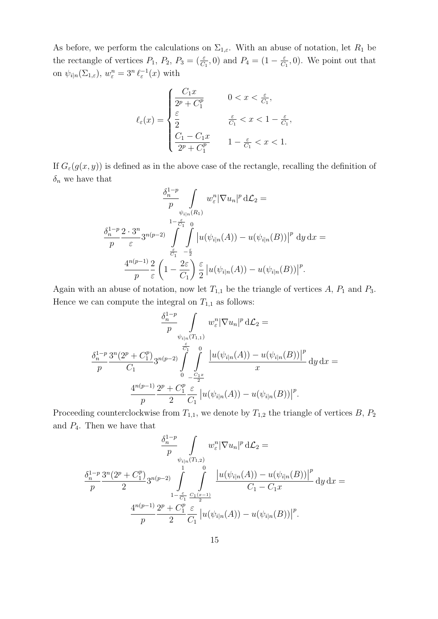As before, we perform the calculations on  $\Sigma_{1,\varepsilon}$ . With an abuse of notation, let  $R_1$  be the rectangle of vertices  $P_1$ ,  $P_2$ ,  $P_3 = (\frac{\varepsilon}{C_1}, 0)$  and  $P_4 = (1 - \frac{\varepsilon}{C_1})$  $\frac{\varepsilon}{C_1}$ , 0). We point out that on  $\psi_{i|n}(\Sigma_{1,\varepsilon})$ ,  $w_{\varepsilon}^n = 3^n \, \ell_{\varepsilon}^{-1}(x)$  with

$$
\ell_{\varepsilon}(x) = \begin{cases} \frac{C_1 x}{2^p + C_1^p} & 0 < x < \frac{\varepsilon}{C_1}, \\ \frac{\varepsilon}{2} & \frac{\varepsilon}{C_1} < x < 1 - \frac{\varepsilon}{C_1}, \\ \frac{C_1 - C_1 x}{2^p + C_1^p} & 1 - \frac{\varepsilon}{C_1} < x < 1. \end{cases}
$$

If  $G_{\varepsilon}(g(x, y))$  is defined as in the above case of the rectangle, recalling the definition of  $\delta_n$  we have that

$$
\frac{\delta_n^{1-p}}{p} \int_{\psi_{i|n}(R_1)} w_{\varepsilon}^n |\nabla u_n|^p d\mathcal{L}_2 =
$$
\n
$$
\frac{\delta_n^{1-p}}{p} \frac{2 \cdot 3^n}{\varepsilon} 3^{n(p-2)} \int_{\frac{\varepsilon}{C_1}}^{1-\frac{\varepsilon}{C_1}} \int_{-\frac{\varepsilon}{2}}^0 |u(\psi_{i|n}(A)) - u(\psi_{i|n}(B))|^p d\mathcal{U} d\mathcal{X} =
$$
\n
$$
\frac{4^{n(p-1)}}{p} \frac{2}{\varepsilon} \left(1 - \frac{2\varepsilon}{C_1}\right) \frac{\varepsilon}{2} |u(\psi_{i|n}(A)) - u(\psi_{i|n}(B))|^p.
$$

Again with an abuse of notation, now let  $T_{1,1}$  be the triangle of vertices A,  $P_1$  and  $P_3$ . Hence we can compute the integral on  $T_{1,1}$  as follows:

$$
\frac{\delta_n^{1-p}}{p} \int_{\psi_{i|n}(T_{1,1})} w_{\varepsilon}^n |\nabla u_n|^p d\mathcal{L}_2 =
$$
\n
$$
\frac{\delta_n^{1-p}}{p} \frac{3^n (2^p + C_1^p)}{C_1} 3^{n(p-2)} \int_{0}^{\varepsilon} \int_{-\frac{C_1 x}{2}}^0 \frac{|u(\psi_{i|n}(A)) - u(\psi_{i|n}(B))|^p}{x} dy dx =
$$
\n
$$
\frac{4^{n(p-1)}}{p} \frac{2^p + C_1^p}{2} \frac{\varepsilon}{C_1} |u(\psi_{i|n}(A)) - u(\psi_{i|n}(B))|^p.
$$

Proceeding counterclockwise from  $T_{1,1}$ , we denote by  $T_{1,2}$  the triangle of vertices B,  $P_2$ and  $P_4$ . Then we have that

$$
\frac{\delta_n^{1-p}}{p} \int_{\psi_{i|n}(T_{1,2})} w_{\varepsilon}^n |\nabla u_n|^p d\mathcal{L}_2 =
$$
\n
$$
\frac{\delta_n^{1-p}}{p} \frac{3^n (2^p + C_1^p)}{2} 3^{n(p-2)} \int_{1-\frac{\varepsilon}{C_1}}^1 \int_{\frac{2^p}{2}}^0 \frac{|u(\psi_{i|n}(A)) - u(\psi_{i|n}(B))|^p}{C_1 - C_1 x} dy dx =
$$
\n
$$
\frac{4^{n(p-1)}}{p} \frac{2^p + C_1^p}{2} \frac{\varepsilon}{C_1} |u(\psi_{i|n}(A)) - u(\psi_{i|n}(B))|^p.
$$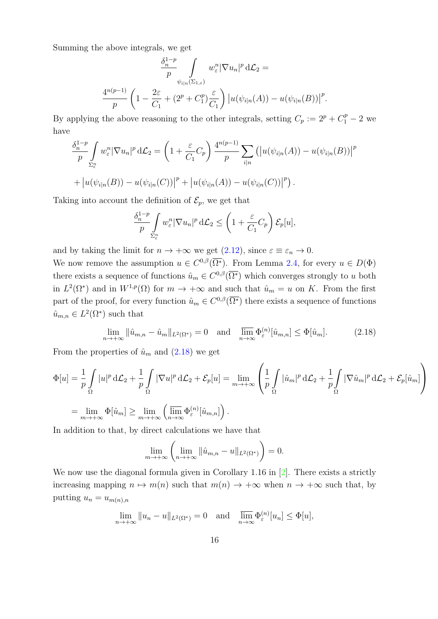Summing the above integrals, we get

$$
\frac{\delta_n^{1-p}}{p} \int_{\psi_{i|n}(\Sigma_{1,\varepsilon})} w_\varepsilon^n |\nabla u_n|^p d\mathcal{L}_2 =
$$

$$
\frac{4^{n(p-1)}}{p} \left(1 - \frac{2\varepsilon}{C_1} + (2^p + C_1^p) \frac{\varepsilon}{C_1}\right) |u(\psi_{i|n}(A)) - u(\psi_{i|n}(B))|^p.
$$

By applying the above reasoning to the other integrals, setting  $C_p := 2^p + C_1^p - 2$  we have

$$
\frac{\delta_n^{1-p}}{p} \int_{\Sigma_{\varepsilon}^n} w_{\varepsilon}^n |\nabla u_n|^p d\mathcal{L}_2 = \left(1 + \frac{\varepsilon}{C_1} C_p\right) \frac{4^{n(p-1)}}{p} \sum_{i|n} \left( |u(\psi_{i|n}(A)) - u(\psi_{i|n}(B))| \right)^p
$$
  
+ 
$$
|u(\psi_{i|n}(B)) - u(\psi_{i|n}(C))|^{p} + |u(\psi_{i|n}(A)) - u(\psi_{i|n}(C))|^{p}.
$$

Taking into account the definition of  $\mathcal{E}_p$ , we get that

$$
\frac{\delta_n^{1-p}}{p} \int\limits_{\Sigma_{\varepsilon}^n} w_{\varepsilon}^n |\nabla u_n|^p d\mathcal{L}_2 \le \left(1 + \frac{\varepsilon}{C_1} C_p \right) \mathcal{E}_p[u],
$$

and by taking the limit for  $n \to +\infty$  we get [\(2.12\)](#page-11-4), since  $\varepsilon \equiv \varepsilon_n \to 0$ .

We now remove the assumption  $u \in C^{0,\beta}(\overline{\Omega^*})$ . From Lemma [2.4,](#page-8-1) for every  $u \in D(\Phi)$ there exists a sequence of functions  $\hat{u}_m \in C^{0,\beta}(\overline{\Omega^*})$  which converges strongly to u both in  $L^2(\Omega^*)$  and in  $W^{1,p}(\Omega)$  for  $m \to +\infty$  and such that  $\hat{u}_m = u$  on K. From the first part of the proof, for every function  $\hat{u}_m \in C^{0,\beta}(\overline{\Omega^*})$  there exists a sequence of functions  $\hat{u}_{m,n} \in L^2(\Omega^*)$  such that

<span id="page-15-0"></span>
$$
\lim_{n \to +\infty} \|\hat{u}_{m,n} - \hat{u}_m\|_{L^2(\Omega^*)} = 0 \quad \text{and} \quad \overline{\lim}_{n \to \infty} \Phi_{\varepsilon}^{(n)}[\hat{u}_{m,n}] \le \Phi[\hat{u}_m]. \tag{2.18}
$$

From the properties of  $\hat{u}_m$  and [\(2.18\)](#page-15-0) we get

$$
\Phi[u] = \frac{1}{p} \int_{\Omega} |u|^p d\mathcal{L}_2 + \frac{1}{p} \int_{\Omega} |\nabla u|^p d\mathcal{L}_2 + \mathcal{E}_p[u] = \lim_{m \to +\infty} \left( \frac{1}{p} \int_{\Omega} |\hat{u}_m|^p d\mathcal{L}_2 + \frac{1}{p} \int_{\Omega} |\nabla \hat{u}_m|^p d\mathcal{L}_2 + \mathcal{E}_p[\hat{u}_m] \right)
$$
  
= 
$$
\lim_{m \to +\infty} \Phi[\hat{u}_m] \ge \lim_{m \to +\infty} \left( \overline{\lim_{n \to +\infty}} \Phi_{\varepsilon}^{(n)}[\hat{u}_{m,n}] \right).
$$

In addition to that, by direct calculations we have that

$$
\lim_{m \to +\infty} \left( \lim_{n \to +\infty} \|\hat{u}_{m,n} - u\|_{L^2(\Omega^*)} \right) = 0.
$$

We now use the diagonal formula given in Corollary 1.16 in [\[2\]](#page-25-0). There exists a strictly increasing mapping  $n \mapsto m(n)$  such that  $m(n) \to +\infty$  when  $n \to +\infty$  such that, by putting  $u_n = u_{m(n),n}$ 

$$
\lim_{n \to +\infty} \|u_n - u\|_{L^2(\Omega^*)} = 0 \quad \text{and} \quad \overline{\lim_{n \to \infty}} \Phi_{\varepsilon}^{(n)}[u_n] \le \Phi[u],
$$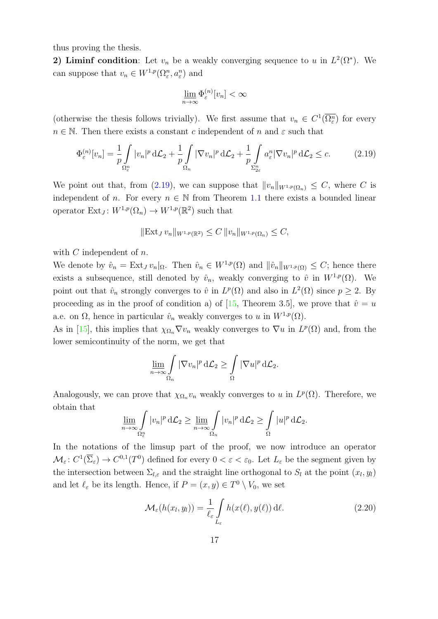thus proving the thesis.

2) Liminf condition: Let  $v_n$  be a weakly converging sequence to u in  $L^2(\Omega^*)$ . We can suppose that  $v_n \in W^{1,p}(\Omega^n_{\varepsilon}, a^n_{\varepsilon})$  and

$$
\underline{\lim}_{n\to\infty}\Phi_{\varepsilon}^{(n)}[v_n]<\infty
$$

(otherwise the thesis follows trivially). We first assume that  $v_n \in C^1(\overline{\Omega^n_{\varepsilon}})$  for every  $n \in \mathbb{N}$ . Then there exists a constant c independent of n and  $\varepsilon$  such that

<span id="page-16-0"></span>
$$
\Phi_{\varepsilon}^{(n)}[v_n] = \frac{1}{p} \int_{\Omega_{\varepsilon}^n} |v_n|^p \, d\mathcal{L}_2 + \frac{1}{p} \int_{\Omega_n} |\nabla v_n|^p \, d\mathcal{L}_2 + \frac{1}{p} \int_{\Sigma_{2\varepsilon}^n} a_{\varepsilon}^n |\nabla v_n|^p \, d\mathcal{L}_2 \le c. \tag{2.19}
$$

We point out that, from [\(2.19\)](#page-16-0), we can suppose that  $||v_n||_{W^{1,p}(\Omega_n)} \leq C$ , where C is independent of n. For every  $n \in \mathbb{N}$  from Theorem [1.1](#page-5-1) there exists a bounded linear operator  $Ext_J: W^{1,p}(\Omega_n) \to W^{1,p}(\mathbb{R}^2)$  such that

$$
\|\operatorname{Ext}_J v_n\|_{W^{1,p}(\mathbb{R}^2)} \le C \|v_n\|_{W^{1,p}(\Omega_n)} \le C,
$$

with  $C$  independent of  $n$ .

We denote by  $\hat{v}_n = \text{Ext}_J v_n|_{\Omega}$ . Then  $\hat{v}_n \in W^{1,p}(\Omega)$  and  $||\hat{v}_n||_{W^{1,p}(\Omega)} \leq C$ ; hence there exists a subsequence, still denoted by  $\hat{v}_n$ , weakly converging to  $\hat{v}$  in  $W^{1,p}(\Omega)$ . We point out that  $\hat{v}_n$  strongly converges to  $\hat{v}$  in  $L^p(\Omega)$  and also in  $L^2(\Omega)$  since  $p \geq 2$ . By proceeding as in the proof of condition a) of [\[15,](#page-26-1) Theorem 3.5], we prove that  $\hat{v} = u$ a.e. on  $\Omega$ , hence in particular  $\hat{v}_n$  weakly converges to u in  $W^{1,p}(\Omega)$ .

As in [\[15\]](#page-26-1), this implies that  $\chi_{\Omega_n} \nabla v_n$  weakly converges to  $\nabla u$  in  $L^p(\Omega)$  and, from the lower semicontinuity of the norm, we get that

$$
\underline{\lim}_{n\to\infty}\int\limits_{\Omega_n}|\nabla v_n|^p\,\mathrm{d}\mathcal{L}_2\geq\int\limits_{\Omega}|\nabla u|^p\,\mathrm{d}\mathcal{L}_2.
$$

Analogously, we can prove that  $\chi_{\Omega_n} v_n$  weakly converges to u in  $L^p(\Omega)$ . Therefore, we obtain that

$$
\underline{\lim}_{n\to\infty}\int\limits_{\Omega^n_{\varepsilon}}|v_n|^p\,\mathrm{d}\mathcal{L}_2\geq \underline{\lim}_{n\to\infty}\int\limits_{\Omega_n}|v_n|^p\,\mathrm{d}\mathcal{L}_2\geq \int\limits_{\Omega}|u|^p\,\mathrm{d}\mathcal{L}_2.
$$

In the notations of the limsup part of the proof, we now introduce an operator  $\mathcal{M}_{\varepsilon}: C^1(\overline{\Sigma}_{\varepsilon}) \to C^{0,1}(T^0)$  defined for every  $0 < \varepsilon < \varepsilon_0$ . Let  $L_{\varepsilon}$  be the segment given by the intersection between  $\Sigma_{l,\varepsilon}$  and the straight line orthogonal to  $S_l$  at the point  $(x_l, y_l)$ and let  $\ell_{\varepsilon}$  be its length. Hence, if  $P = (x, y) \in T^0 \setminus V_0$ , we set

$$
\mathcal{M}_{\varepsilon}(h(x_l, y_l)) = \frac{1}{\ell_{\varepsilon}} \int_{L_{\varepsilon}} h(x(\ell), y(\ell)) \, d\ell. \tag{2.20}
$$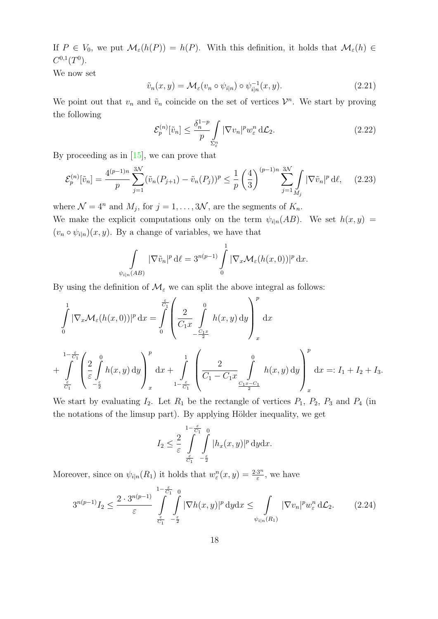If  $P \in V_0$ , we put  $\mathcal{M}_{\varepsilon}(h(P)) = h(P)$ . With this definition, it holds that  $\mathcal{M}_{\varepsilon}(h) \in$  $C^{0,1}(T^0)$ .

We now set

$$
\tilde{v}_n(x, y) = \mathcal{M}_{\varepsilon}(v_n \circ \psi_{i|n}) \circ \psi_{i|n}^{-1}(x, y). \tag{2.21}
$$

We point out that  $v_n$  and  $\tilde{v}_n$  coincide on the set of vertices  $\mathcal{V}^n$ . We start by proving the following

<span id="page-17-2"></span>
$$
\mathcal{E}_p^{(n)}[\tilde{v}_n] \le \frac{\delta_n^{1-p}}{p} \int\limits_{\Sigma_{\varepsilon}^n} |\nabla v_n|^p w_{\varepsilon}^n \, d\mathcal{L}_2. \tag{2.22}
$$

By proceeding as in  $[15]$ , we can prove that

<span id="page-17-1"></span>
$$
\mathcal{E}_p^{(n)}[\tilde{v}_n] = \frac{4^{(p-1)n}}{p} \sum_{j=1}^{3N} (\tilde{v}_n(P_{j+1}) - \tilde{v}_n(P_j))^p \le \frac{1}{p} \left(\frac{4}{3}\right)^{(p-1)n} \sum_{j=1}^{3N} \int_{M_j} |\nabla \tilde{v}_n|^p d\ell, \quad (2.23)
$$

where  $\mathcal{N} = 4^n$  and  $M_j$ , for  $j = 1, ..., 3\mathcal{N}$ , are the segments of  $K_n$ .

We make the explicit computations only on the term  $\psi_{i|n}(AB)$ . We set  $h(x, y)$  =  $(v_n \circ \psi_{i|n})(x, y)$ . By a change of variables, we have that

$$
\int_{\psi_{i|n}(AB)} |\nabla \tilde{v}_n|^p d\ell = 3^{n(p-1)} \int_0^1 |\nabla_x \mathcal{M}_{\varepsilon}(h(x,0))|^p dx.
$$

By using the definition of  $\mathcal{M}_{\varepsilon}$  we can split the above integral as follows:

$$
\int_{0}^{1} |\nabla_x \mathcal{M}_{\varepsilon}(h(x,0))|^p dx = \int_{0}^{\frac{\varepsilon}{C_1}} \left( \frac{2}{C_1 x} \int_{-\frac{C_1 x}{2}}^{0} h(x,y) dy \right)_{x}^{p} dx
$$
\n
$$
+ \int_{\frac{\varepsilon}{C_1}}^{1 - \frac{\varepsilon}{C_1}} \left( \frac{2}{\varepsilon} \int_{-\frac{\varepsilon}{2}}^{0} h(x,y) dy \right)_{x}^{p} dx + \int_{1 - \frac{\varepsilon}{C_1}}^{1} \left( \frac{2}{C_1 - C_1 x} \int_{\frac{C_1 x - C_1}{2}}^{0} h(x,y) dy \right)_{x}^{p} dx =: I_1 + I_2 + I_3.
$$

We start by evaluating  $I_2$ . Let  $R_1$  be the rectangle of vertices  $P_1$ ,  $P_2$ ,  $P_3$  and  $P_4$  (in the notations of the limsup part). By applying Hölder inequality, we get

$$
I_2 \leq \frac{2}{\varepsilon} \int_{\frac{\varepsilon}{C_1} - \frac{\varepsilon}{2}}^{1 - \frac{\varepsilon}{C_1}} \int_{-\frac{\varepsilon}{2}}^{\infty} |h_x(x, y)|^p \, \mathrm{d}y \mathrm{d}x.
$$

Moreover, since on  $\psi_{i|n}(R_1)$  it holds that  $w_{\varepsilon}^n(x,y) = \frac{2 \cdot 3^n}{\varepsilon}$  $\frac{3^n}{\varepsilon}$ , we have

<span id="page-17-0"></span>
$$
3^{n(p-1)}I_2 \le \frac{2 \cdot 3^{n(p-1)}}{\varepsilon} \int\limits_{\frac{\varepsilon}{C_1} - \frac{\varepsilon}{2}}^{1 - \frac{\varepsilon}{C_1}} \int\limits_{-\frac{\varepsilon}{2}}^0 |\nabla h(x, y)|^p \, \mathrm{d}y \mathrm{d}x \le \int\limits_{\psi_{i|n}(R_1)} |\nabla v_n|^p w_{\varepsilon}^n \, \mathrm{d}\mathcal{L}_2. \tag{2.24}
$$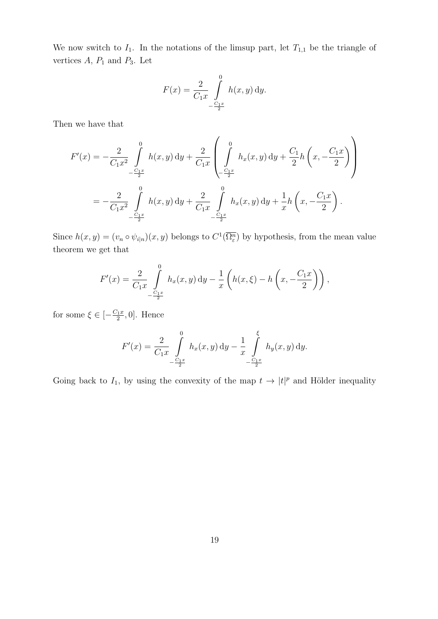We now switch to  $I_1$ . In the notations of the limsup part, let  $T_{1,1}$  be the triangle of vertices  $A, P_1$  and  $P_3$ . Let

$$
F(x) = \frac{2}{C_1 x} \int_{-\frac{C_1 x}{2}}^{0} h(x, y) \, dy.
$$

Then we have that

$$
F'(x) = -\frac{2}{C_1 x^2} \int_{-\frac{C_1 x}{2}}^0 h(x, y) dy + \frac{2}{C_1 x} \left( \int_{-\frac{C_1 x}{2}}^0 h_x(x, y) dy + \frac{C_1}{2} h\left(x, -\frac{C_1 x}{2}\right) \right)
$$
  
= 
$$
-\frac{2}{C_1 x^2} \int_{-\frac{C_1 x}{2}}^0 h(x, y) dy + \frac{2}{C_1 x} \int_{-\frac{C_1 x}{2}}^0 h_x(x, y) dy + \frac{1}{x} h\left(x, -\frac{C_1 x}{2}\right).
$$

Since  $h(x, y) = (v_n \circ \psi_{i|n})(x, y)$  belongs to  $C^1(\overline{\Omega^n_{\varepsilon}})$  by hypothesis, from the mean value theorem we get that

$$
F'(x) = \frac{2}{C_1 x} \int_{-\frac{C_1 x}{2}}^{0} h_x(x, y) dy - \frac{1}{x} \left( h(x, \xi) - h\left(x, -\frac{C_1 x}{2}\right) \right),
$$

for some  $\xi \in \left[-\frac{C_1x}{2}\right]$  $\frac{2}{2}$ , 0]. Hence

$$
F'(x) = \frac{2}{C_1 x} \int_{-\frac{C_1 x}{2}}^{0} h_x(x, y) dy - \frac{1}{x} \int_{-\frac{C_1 x}{2}}^{\xi} h_y(x, y) dy.
$$

Going back to  $I_1$ , by using the convexity of the map  $t \to |t|^p$  and Hölder inequality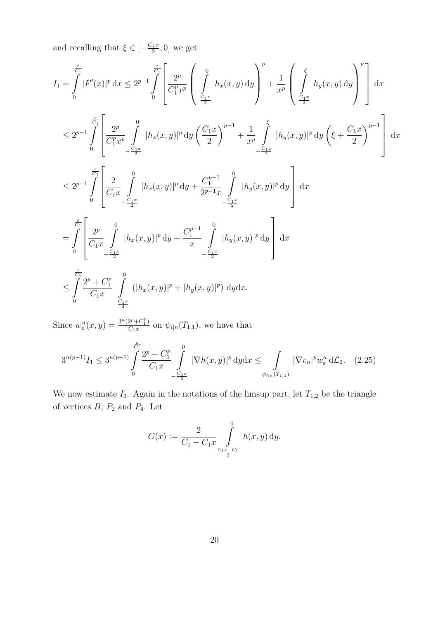and recalling that  $\xi \in \left[-\frac{C_1 x}{2}\right]$  $\left[\frac{2}{2}, 0\right]$  we get

$$
I_{1} = \int_{0}^{\frac{\varepsilon}{C_{1}}} |F'(x)|^{p} dx \leq 2^{p-1} \int_{0}^{\frac{\varepsilon}{C_{1}}} \left[ \frac{2^{p}}{C_{1}^{p}x^{p}} \left( \int_{\frac{C_{1}x}{2}}^{0} h_{x}(x, y) dy \right)^{p} + \frac{1}{x^{p}} \left( \int_{\frac{C_{1}x}{2}}^{0} h_{y}(x, y) dy \right)^{p} \right] dx
$$
  
\n
$$
\leq 2^{p-1} \int_{0}^{\frac{\varepsilon}{C_{1}}} \left[ \frac{2^{p}}{C_{1}^{p}x^{p}} \int_{\frac{C_{1}x}{2}}^{0} |h_{x}(x, y)|^{p} dy \left( \frac{C_{1}x}{2} \right)^{p-1} + \frac{1}{x^{p}} \int_{-\frac{C_{1}x}{2}}^{0} |h_{y}(x, y)|^{p} dy \left( \xi + \frac{C_{1}x}{2} \right)^{p-1} \right] dx
$$
  
\n
$$
\leq 2^{p-1} \int_{0}^{\frac{\varepsilon}{C_{1}}} \left[ \frac{2}{C_{1}x} \int_{-\frac{C_{1}x}{2}}^{0} |h_{x}(x, y)|^{p} dy + \frac{C_{1}^{p-1}}{2^{p-1}x} \int_{-\frac{C_{1}x}{2}}^{0} |h_{y}(x, y)|^{p} dy \right] dx
$$
  
\n
$$
= \int_{0}^{\frac{\varepsilon}{C_{1}}} \left[ \frac{2^{p}}{C_{1}x} \int_{-\frac{C_{1}x}{2}}^{0} |h_{x}(x, y)|^{p} dy + \frac{C_{1}^{p-1}}{x} \int_{-\frac{C_{1}x}{2}}^{0} |h_{y}(x, y)|^{p} dy \right] dx
$$
  
\n
$$
\leq \int_{0}^{\frac{\varepsilon}{C_{1}x}} \frac{2^{p} + C_{1}^{p}}{C_{1}x} \int_{-\frac{C_{1}x}{2}}^{0} (|h_{x}(x, y)|^{p} + |h_{y}(x, y)|^{p}) dy dx.
$$

Since  $w_{\varepsilon}^n(x, y) = \frac{3^n (2^p + C_1^p)}{C_1 x}$  $\frac{\partial^{2^{r}}\left(1-\mathcal{V}\right)}{\partial(x^{r})}$  on  $\psi_{i|n}(T_{1,1}),$  we have that

<span id="page-19-0"></span>
$$
3^{n(p-1)}I_1 \le 3^{n(p-1)}\int\limits_{0}^{\frac{\varepsilon}{C_1}}\frac{2^p + C_1^p}{C_1x} \int\limits_{-\frac{C_1x}{2}}^{0} |\nabla h(x,y)|^p \, \mathrm{d}y \mathrm{d}x \le \int\limits_{\psi_{i|n}(T_{1,1})} |\nabla v_n|^p w_{\varepsilon}^n \, \mathrm{d}\mathcal{L}_2. \tag{2.25}
$$

We now estimate  $I_3$ . Again in the notations of the limsup part, let  $T_{1,2}$  be the triangle of vertices  $B, P_2$  and  $P_4$ . Let

$$
G(x) := \frac{2}{C_1 - C_1 x} \int_{\frac{C_1 x - C_1}{2}}^{0} h(x, y) dy.
$$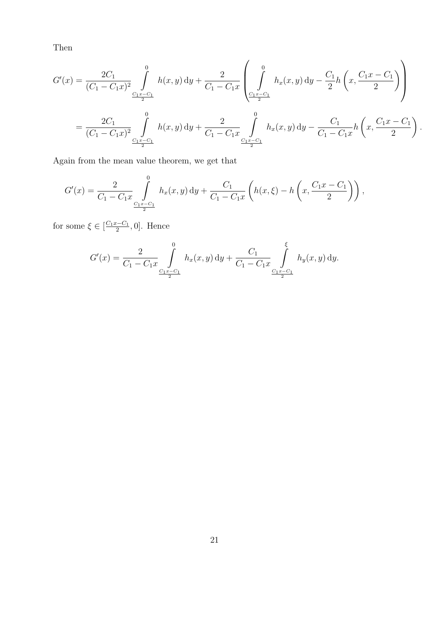Then

$$
G'(x) = \frac{2C_1}{(C_1 - C_1x)^2} \int_{\frac{C_1x - C_1}{2}}^{0} h(x, y) dy + \frac{2}{C_1 - C_1x} \left( \int_{\frac{C_1x - C_1}{2}}^{0} h_x(x, y) dy - \frac{C_1}{2} h\left(x, \frac{C_1x - C_1}{2}\right) \right)
$$
  
= 
$$
\frac{2C_1}{(C_1 - C_1x)^2} \int_{\frac{C_1x - C_1}{2}}^{0} h(x, y) dy + \frac{2}{C_1 - C_1x} \int_{\frac{C_1x - C_1}{2}}^{0} h_x(x, y) dy - \frac{C_1}{C_1 - C_1x} h\left(x, \frac{C_1x - C_1}{2}\right).
$$

Again from the mean value theorem, we get that

$$
G'(x) = \frac{2}{C_1 - C_1 x} \int_{\frac{C_1 x - C_1}{2}}^{0} h_x(x, y) dy + \frac{C_1}{C_1 - C_1 x} \left( h(x, \xi) - h\left(x, \frac{C_1 x - C_1}{2}\right) \right),
$$

for some  $\xi \in \left[\frac{C_1x-C_1}{2}\right]$  $\frac{c-C_1}{2}$ , 0]. Hence

$$
G'(x) = \frac{2}{C_1 - C_1 x} \int_{\frac{C_1 x - C_1}{2}}^{0} h_x(x, y) dy + \frac{C_1}{C_1 - C_1 x} \int_{\frac{C_1 x - C_1}{2}}^{0} h_y(x, y) dy.
$$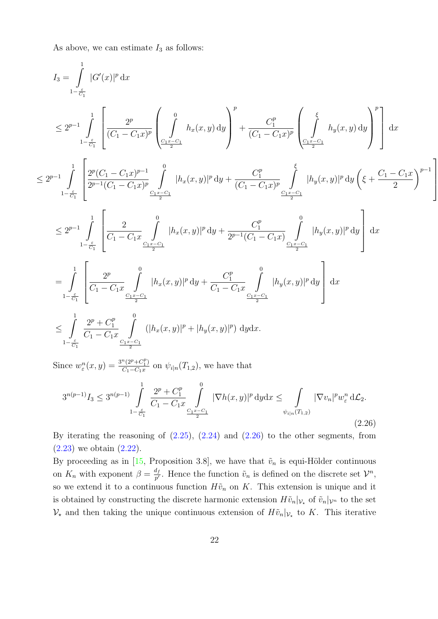As above, we can estimate  $I_3$  as follows:

$$
\begin{split} I_{3} & = \int\limits_{1-\frac{c}{C_{1}}}^{1} |G'(x)|^{p} dx \\ & \leq 2^{p-1} \int\limits_{1-\frac{c}{C_{1}}}^{1} \left[ \frac{2^{p}}{(C_{1}-C_{1}x)^{p}} \left( \int\limits_{C_{1}\frac{x-C_{1}}{2}}^{0} h_{x}(x,y) dy \right)^{p} + \frac{C_{1}^{p}}{(C_{1}-C_{1}x)^{p}} \left( \int\limits_{C_{1}\frac{x-C_{1}}{2}}^{0} h_{y}(x,y) dy \right)^{p} \right] dx \\ & \leq 2^{p-1} \int\limits_{1-\frac{c}{C_{1}}}^{1} \left[ \frac{2^{p}(C_{1}-C_{1}x)^{p-1}}{2^{p-1}(C_{1}-C_{1}x)^{p}} \int\limits_{C_{1}\frac{x-C_{1}}{2}}^{0} |h_{x}(x,y)|^{p} dy + \frac{C_{1}^{p}}{(C_{1}-C_{1}x)^{p}} \int\limits_{C_{1}\frac{x-C_{1}}{2}}^{0} |h_{y}(x,y)|^{p} dy \left( \xi + \frac{C_{1}-C_{1}x}{2} \right)^{p-1} \right] \\ & \leq 2^{p-1} \int\limits_{1-\frac{c}{C_{1}}}^{1} \left[ \frac{2}{C_{1}-C_{1}x} \int\limits_{C_{1}\frac{x-C_{1}}{2}}^{0} |h_{x}(x,y)|^{p} dy + \frac{C_{1}^{p}}{2^{p-1}(C_{1}-C_{1}x)} \int\limits_{C_{1}\frac{x-C_{1}}{2}}^{0} |h_{y}(x,y)|^{p} dy \right] dx \\ & = \int\limits_{1-\frac{c}{C_{1}}}^{1} \left[ \frac{2^{p}}{C_{1}-C_{1}x} \int\limits_{C_{1}\frac{x-C_{1}}{2}}^{0} |h_{x}(x,y)|^{p} dy + \frac{C_{1}^{p}}{C_{1}-C_{1}x} \int\limits_{C_{1}\frac{x-C_{1}}{2}}^{0} |h_{y}(x,y)|^{p} dy \right] dx \\ & \leq \int\limits_{1-\frac{c}{C_{1}}}^{1} \frac{2^{p} + C_{1}^{p}}{C_{1}-C_{1}x} \int\limits_{C_{1}\frac{x-C_{1}}{2}}^{0} (|h_{x}(x,y)|^{p} + |h
$$

1

 $\overline{1}$  $\overline{1}$  $\overline{\phantom{a}}$ 

Since  $w_{\varepsilon}^n(x,y) = \frac{3^n (2^p + C_1^p)}{C_1 - C_1 x}$  $\frac{\Gamma(2^{r}+\mathcal{C}_1)}{C_1-C_1x}$  on  $\psi_{i|n}(T_{1,2})$ , we have that

<span id="page-21-0"></span>
$$
3^{n(p-1)}I_3 \le 3^{n(p-1)}\int_{1-\frac{\varepsilon}{C_1}}^1 \frac{2^p + C_1^p}{C_1 - C_1 x} \int_{\frac{C_1 x - C_1}{2}}^0 |\nabla h(x, y)|^p dy dx \le \int_{\psi_{i|n}(T_{1,2})} |\nabla v_n|^p w_{\varepsilon}^n d\mathcal{L}_2.
$$
\n(2.26)

By iterating the reasoning of  $(2.25)$ ,  $(2.24)$  and  $(2.26)$  to the other segments, from [\(2.23\)](#page-17-1) we obtain [\(2.22\)](#page-17-2).

By proceeding as in [\[15,](#page-26-1) Proposition 3.8], we have that  $\tilde{v}_n$  is equi-Hölder continuous on  $K_n$  with exponent  $\beta = \frac{d_f}{n'}$  $\frac{d_f}{p'}$ . Hence the function  $\tilde{v}_n$  is defined on the discrete set  $\mathcal{V}^n$ , so we extend it to a continuous function  $H\tilde{v}_n$  on K. This extension is unique and it is obtained by constructing the discrete harmonic extension  $H\tilde{v}_n|_{\mathcal{V}_*}$  of  $\tilde{v}_n|_{\mathcal{V}^n}$  to the set  $\mathcal{V}_{\star}$  and then taking the unique continuous extension of  $H\tilde{v}_n|_{\mathcal{V}_{\star}}$  to K. This iterative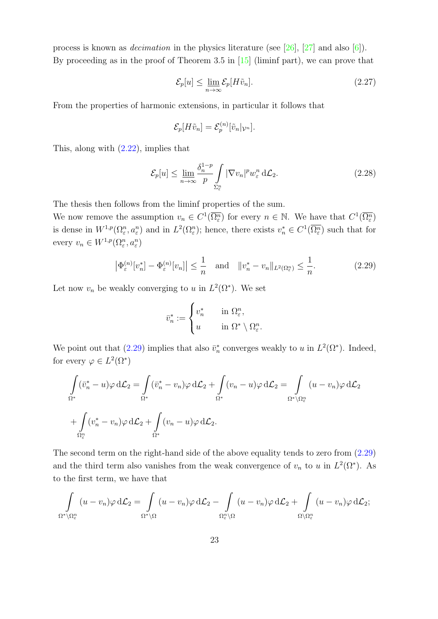process is known as *decimation* in the physics literature (see [\[26\]](#page-27-12), [\[27\]](#page-27-13) and also [\[6\]](#page-25-6)). By proceeding as in the proof of Theorem 3.5 in [\[15\]](#page-26-1) (liminf part), we can prove that

$$
\mathcal{E}_p[u] \le \lim_{n \to \infty} \mathcal{E}_p[H\tilde{v}_n].\tag{2.27}
$$

From the properties of harmonic extensions, in particular it follows that

$$
\mathcal{E}_p[H\tilde{v}_n] = \mathcal{E}_p^{(n)}[\tilde{v}_n|_{\mathcal{V}^n}].
$$

This, along with [\(2.22\)](#page-17-2), implies that

$$
\mathcal{E}_p[u] \le \lim_{n \to \infty} \frac{\delta_n^{1-p}}{p} \int\limits_{\Sigma_{\varepsilon}^n} |\nabla v_n|^p w_{\varepsilon}^n d\mathcal{L}_2. \tag{2.28}
$$

The thesis then follows from the liminf properties of the sum.

We now remove the assumption  $v_n \in C^1(\overline{\Omega^n_{\varepsilon}})$  for every  $n \in \mathbb{N}$ . We have that  $C^1(\overline{\Omega^n_{\varepsilon}})$ is dense in  $W^{1,p}(\Omega^n_{\varepsilon},a^n_{\varepsilon})$  and in  $L^2(\Omega^n_{\varepsilon})$ ; hence, there exists  $v_n^* \in C^1(\overline{\Omega^n_{\varepsilon}})$  such that for every  $v_n \in W^{1,p}(\Omega^n_{\varepsilon}, a^n_{\varepsilon})$ 

<span id="page-22-0"></span>
$$
\left|\Phi_{\varepsilon}^{(n)}[v_n^*] - \Phi_{\varepsilon}^{(n)}[v_n]\right| \le \frac{1}{n} \quad \text{and} \quad \|v_n^* - v_n\|_{L^2(\Omega_{\varepsilon}^n)} \le \frac{1}{n}.\tag{2.29}
$$

Let now  $v_n$  be weakly converging to u in  $L^2(\Omega^*)$ . We set

$$
\bar{v}_n^* := \begin{cases} v_n^* & \text{in } \Omega_{\varepsilon}^n, \\ u & \text{in } \Omega^* \setminus \Omega_{\varepsilon}^n. \end{cases}
$$

We point out that [\(2.29\)](#page-22-0) implies that also  $\bar{v}_n^*$  converges weakly to u in  $L^2(\Omega^*)$ . Indeed, for every  $\varphi \in L^2(\Omega^*)$ 

$$
\int_{\Omega^*} (\bar{v}_n^* - u) \varphi \, d\mathcal{L}_2 = \int_{\Omega^*} (\bar{v}_n^* - v_n) \varphi \, d\mathcal{L}_2 + \int_{\Omega^*} (v_n - u) \varphi \, d\mathcal{L}_2 = \int_{\Omega^* \setminus \Omega_{\varepsilon}^n} (u - v_n) \varphi \, d\mathcal{L}_2
$$
\n
$$
+ \int_{\Omega_{\varepsilon}^n} (v_n^* - v_n) \varphi \, d\mathcal{L}_2 + \int_{\Omega^*} (v_n - u) \varphi \, d\mathcal{L}_2.
$$

The second term on the right-hand side of the above equality tends to zero from [\(2.29\)](#page-22-0) and the third term also vanishes from the weak convergence of  $v_n$  to u in  $L^2(\Omega^*)$ . As to the first term, we have that

$$
\int_{\Omega^*\setminus\Omega^n_\varepsilon}(u-v_n)\varphi\,d\mathcal{L}_2=\int_{\Omega^*\setminus\Omega}(u-v_n)\varphi\,d\mathcal{L}_2-\int_{\Omega^n_\varepsilon\setminus\Omega}(u-v_n)\varphi\,d\mathcal{L}_2+\int_{\Omega\setminus\Omega^n_\varepsilon}(u-v_n)\varphi\,d\mathcal{L}_2;
$$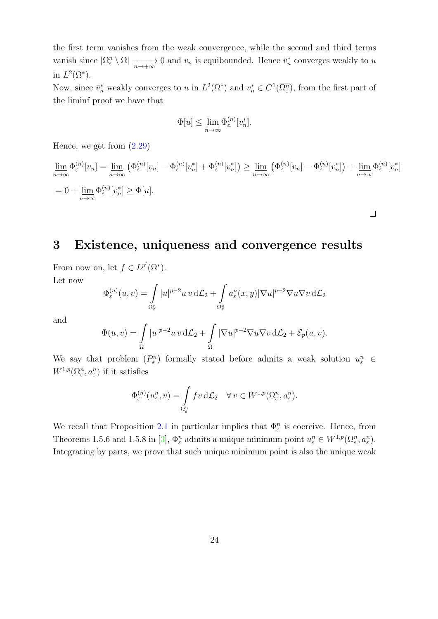the first term vanishes from the weak convergence, while the second and third terms vanish since  $|\Omega_{\varepsilon}^n \setminus \Omega| \longrightarrow 0$  and  $v_n$  is equibounded. Hence  $\bar{v}_n^*$  converges weakly to u in  $L^2(\Omega^*).$ 

Now, since  $\bar{v}_n^*$  weakly converges to u in  $L^2(\Omega^*)$  and  $v_n^* \in C^1(\overline{\Omega_{\varepsilon}^n})$ , from the first part of the liminf proof we have that

$$
\Phi[u] \le \lim_{n \to \infty} \Phi_{\varepsilon}^{(n)}[v_n^*].
$$

Hence, we get from [\(2.29\)](#page-22-0)

$$
\underline{\lim}_{n \to \infty} \Phi_{\varepsilon}^{(n)}[v_n] = \underline{\lim}_{n \to \infty} \left( \Phi_{\varepsilon}^{(n)}[v_n] - \Phi_{\varepsilon}^{(n)}[v_n^*] + \Phi_{\varepsilon}^{(n)}[v_n^*] \right) \ge \underline{\lim}_{n \to \infty} \left( \Phi_{\varepsilon}^{(n)}[v_n] - \Phi_{\varepsilon}^{(n)}[v_n^*] \right) + \underline{\lim}_{n \to \infty} \Phi_{\varepsilon}^{(n)}[v_n^*]
$$
\n
$$
= 0 + \underline{\lim}_{n \to \infty} \Phi_{\varepsilon}^{(n)}[v_n^*] \ge \Phi[u].
$$

 $\Box$ 

### <span id="page-23-0"></span>3 Existence, uniqueness and convergence results

From now on, let  $f \in L^{p'}(\Omega^*)$ . Let now

$$
\Phi_\varepsilon^{(n)}(u,v)=\int\limits_{\Omega_\varepsilon^n}|u|^{p-2}u\,v\,\mathrm {d}\mathcal{L}_2+\int\limits_{\Omega_\varepsilon^n}a_\varepsilon^n(x,y)|\nabla u|^{p-2}\nabla u\nabla v\,\mathrm {d}\mathcal{L}_2
$$

and

$$
\Phi(u,v) = \int_{\Omega} |u|^{p-2}uv \, d\mathcal{L}_2 + \int_{\Omega} |\nabla u|^{p-2} \nabla u \nabla v \, d\mathcal{L}_2 + \mathcal{E}_p(u,v).
$$

We say that problem  $(P_{\varepsilon}^n)$  formally stated before admits a weak solution  $u_{\varepsilon}^n \in$  $W^{1,p}(\Omega^n_{\varepsilon},a^n_{\varepsilon})$  if it satisfies

$$
\Phi_{\varepsilon}^{(n)}(u_{\varepsilon}^n, v) = \int_{\Omega_{\varepsilon}^n} f v \, d\mathcal{L}_2 \quad \forall \, v \in W^{1, p}(\Omega_{\varepsilon}^n, a_{\varepsilon}^n).
$$

We recall that Proposition [2.1](#page-7-2) in particular implies that  $\Phi_{\varepsilon}^{n}$  is coercive. Hence, from Theorems 1.5.6 and 1.5.8 in [\[3\]](#page-25-7),  $\Phi_{\varepsilon}^n$  admits a unique minimum point  $u_{\varepsilon}^n \in W^{1,p}(\Omega_{\varepsilon}^n, a_{\varepsilon}^n)$ . Integrating by parts, we prove that such unique minimum point is also the unique weak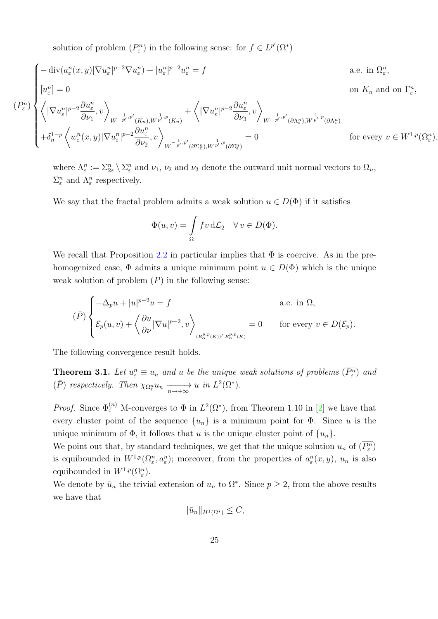solution of problem  $(P_{\varepsilon}^n)$  in the following sense: for  $f \in L^{p'}(\Omega^*)$ 

$$
\begin{cases}\n-\operatorname{div}(a_{\varepsilon}^{n}(x,y)|\nabla u_{\varepsilon}^{n}|^{p-2}\nabla u_{\varepsilon}^{n}) + |u_{\varepsilon}^{n}|^{p-2}u_{\varepsilon}^{n} = f & \text{a.e. in } \Omega_{\varepsilon}^{n}, \\
[u_{\varepsilon}^{n}] = 0 & \text{on } K_{n} \text{ and on } \Gamma_{\varepsilon}^{n}, \\
\left\langle |\nabla u_{\varepsilon}^{n}|^{p-2}\frac{\partial u_{\varepsilon}^{n}}{\partial \nu_{1}},v\right\rangle_{W^{-\frac{1}{p'},p'}(K_{n}),W^{\frac{1}{p'},p}(K_{n})} + \left\langle |\nabla u_{\varepsilon}^{n}|^{p-2}\frac{\partial u_{\varepsilon}^{n}}{\partial \nu_{3}},v\right\rangle_{W^{-\frac{1}{p'},p'}(\partial \Lambda_{\varepsilon}^{n}),W^{\frac{1}{p'},p}(\partial \Lambda_{\varepsilon}^{n})} \\
+\delta_{n}^{1-p}\left\langle w_{\varepsilon}^{n}(x,y)|\nabla u_{\varepsilon}^{n}|^{p-2}\frac{\partial u_{\varepsilon}^{n}}{\partial \nu_{2}},v\right\rangle_{W^{-\frac{1}{p'},p'}(\partial \Sigma_{\varepsilon}^{n}),W^{\frac{1}{p'},p}(\partial \Sigma_{\varepsilon}^{n})} = 0 & \text{for every } v \in W^{1,p}(\Omega_{\varepsilon}^{n}),\n\end{cases}
$$

where  $\Lambda_{\varepsilon}^n := \Sigma_{2\varepsilon}^n \setminus \Sigma_{\varepsilon}^n$  and  $\nu_1$ ,  $\nu_2$  and  $\nu_3$  denote the outward unit normal vectors to  $\Omega_n$ ,  $\Sigma_{\varepsilon}^{n}$  and  $\Lambda_{\varepsilon}^{n}$  respectively.

We say that the fractal problem admits a weak solution  $u \in D(\Phi)$  if it satisfies

$$
\Phi(u,v) = \int_{\Omega} f v \, d\mathcal{L}_2 \quad \forall \, v \in D(\Phi).
$$

We recall that Proposition [2.2](#page-8-2) in particular implies that  $\Phi$  is coercive. As in the prehomogenized case,  $\Phi$  admits a unique minimum point  $u \in D(\Phi)$  which is the unique weak solution of problem  $(P)$  in the following sense:

$$
(\bar{P})\begin{cases}\n-\Delta_p u + |u|^{p-2}u = f & \text{a.e. in } \Omega, \\
\mathcal{E}_p(u,v) + \left\langle \frac{\partial u}{\partial \nu} |\nabla u|^{p-2}, v \right\rangle_{(B^{p,p}_\alpha(K))',B^{p,p}_\alpha(K))} = 0 & \text{for every } v \in D(\mathcal{E}_p).\n\end{cases}
$$

The following convergence result holds.

**Theorem 3.1.** Let  $u^n_\varepsilon \equiv u_n$  and u be the unique weak solutions of problems  $(\overline{P_{\varepsilon}^n})$  and  $(\bar{P})$  respectively. Then  $\chi_{\Omega_{\epsilon}^n} u_n \xrightarrow[n \to +\infty]{n} u$  in  $L^2(\Omega^*).$ 

*Proof.* Since  $\Phi_{\varepsilon}^{(n)}$  M-converges to  $\Phi$  in  $L^2(\Omega^*)$ , from Theorem 1.10 in [\[2\]](#page-25-0) we have that every cluster point of the sequence  $\{u_n\}$  is a minimum point for  $\Phi$ . Since u is the unique minimum of  $\Phi$ , it follows that u is the unique cluster point of  $\{u_n\}$ .

We point out that, by standard techniques, we get that the unique solution  $u_n$  of  $(\overline{P_{\varepsilon}^n})$ is equibounded in  $W^{1,p}(\Omega^n_\varepsilon, a^n_\varepsilon)$ ; moreover, from the properties of  $a^n_\varepsilon(x,y)$ ,  $u_n$  is also equibounded in  $W^{1,p}(\Omega^n_{\varepsilon})$ .

We denote by  $\bar{u}_n$  the trivial extension of  $u_n$  to  $\Omega^*$ . Since  $p \geq 2$ , from the above results we have that

$$
\|\bar{u}_n\|_{H^1(\Omega^*)} \leq C,
$$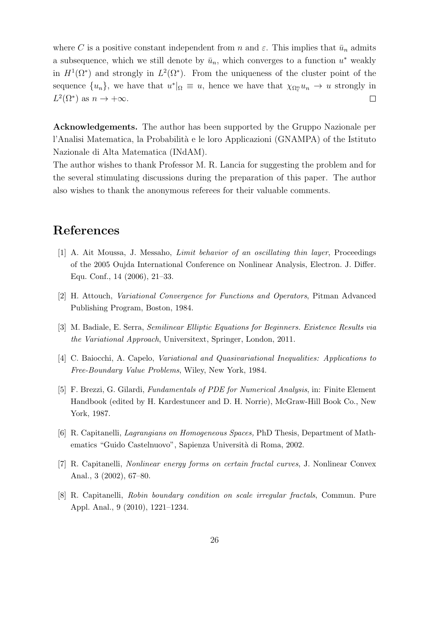where C is a positive constant independent from n and  $\varepsilon$ . This implies that  $\bar{u}_n$  admits a subsequence, which we still denote by  $\bar{u}_n$ , which converges to a function  $u^*$  weakly in  $H^1(\Omega^*)$  and strongly in  $L^2(\Omega^*)$ . From the uniqueness of the cluster point of the sequence  $\{u_n\}$ , we have that  $u^*\vert_{\Omega} \equiv u$ , hence we have that  $\chi_{\Omega_e} u_n \to u$  strongly in  $L^2(\Omega^*)$  as  $n \to +\infty$ .  $\Box$ 

Acknowledgements. The author has been supported by the Gruppo Nazionale per l'Analisi Matematica, la Probabilità e le loro Applicazioni (GNAMPA) of the Istituto Nazionale di Alta Matematica (INdAM).

The author wishes to thank Professor M. R. Lancia for suggesting the problem and for the several stimulating discussions during the preparation of this paper. The author also wishes to thank the anonymous referees for their valuable comments.

## References

- <span id="page-25-1"></span>[1] A. Ait Moussa, J. Messaho, Limit behavior of an oscillating thin layer, Proceedings of the 2005 Oujda International Conference on Nonlinear Analysis, Electron. J. Differ. Equ. Conf., 14 (2006), 21–33.
- <span id="page-25-0"></span>[2] H. Attouch, Variational Convergence for Functions and Operators, Pitman Advanced Publishing Program, Boston, 1984.
- <span id="page-25-7"></span>[3] M. Badiale, E. Serra, Semilinear Elliptic Equations for Beginners. Existence Results via the Variational Approach, Universitext, Springer, London, 2011.
- <span id="page-25-4"></span>[4] C. Baiocchi, A. Capelo, Variational and Quasivariational Inequalities: Applications to Free-Boundary Value Problems, Wiley, New York, 1984.
- <span id="page-25-3"></span>[5] F. Brezzi, G. Gilardi, Fundamentals of PDE for Numerical Analysis, in: Finite Element Handbook (edited by H. Kardestuncer and D. H. Norrie), McGraw-Hill Book Co., New York, 1987.
- <span id="page-25-6"></span>[6] R. Capitanelli, Lagrangians on Homogeneous Spaces, PhD Thesis, Department of Mathematics "Guido Castelnuovo", Sapienza Università di Roma, 2002.
- <span id="page-25-5"></span>[7] R. Capitanelli, Nonlinear energy forms on certain fractal curves, J. Nonlinear Convex Anal., 3 (2002), 67–80.
- <span id="page-25-2"></span>[8] R. Capitanelli, Robin boundary condition on scale irregular fractals, Commun. Pure Appl. Anal., 9 (2010), 1221–1234.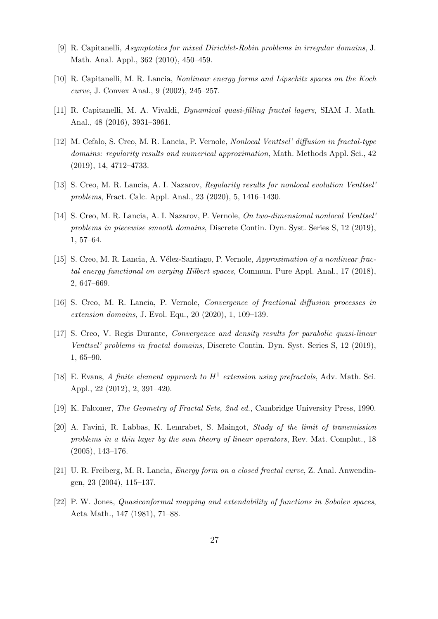- <span id="page-26-11"></span>[9] R. Capitanelli, Asymptotics for mixed Dirichlet-Robin problems in irregular domains, J. Math. Anal. Appl., 362 (2010), 450–459.
- <span id="page-26-12"></span>[10] R. Capitanelli, M. R. Lancia, Nonlinear energy forms and Lipschitz spaces on the Koch curve, J. Convex Anal., 9 (2002), 245–257.
- <span id="page-26-7"></span>[11] R. Capitanelli, M. A. Vivaldi, Dynamical quasi-filling fractal layers, SIAM J. Math. Anal., 48 (2016), 3931–3961.
- <span id="page-26-3"></span>[12] M. Cefalo, S. Creo, M. R. Lancia, P. Vernole, Nonlocal Venttsel' diffusion in fractal-type domains: regularity results and numerical approximation, Math. Methods Appl. Sci., 42 (2019), 14, 4712–4733.
- <span id="page-26-5"></span>[13] S. Creo, M. R. Lancia, A. I. Nazarov, Regularity results for nonlocal evolution Venttsel' problems, Fract. Calc. Appl. Anal., 23 (2020), 5, 1416–1430.
- <span id="page-26-4"></span>[14] S. Creo, M. R. Lancia, A. I. Nazarov, P. Vernole, On two-dimensional nonlocal Venttsel' problems in piecewise smooth domains, Discrete Contin. Dyn. Syst. Series S, 12 (2019), 1, 57–64.
- <span id="page-26-1"></span>[15] S. Creo, M. R. Lancia, A. Vélez-Santiago, P. Vernole, Approximation of a nonlinear fractal energy functional on varying Hilbert spaces, Commun. Pure Appl. Anal., 17 (2018), 2, 647–669.
- <span id="page-26-0"></span>[16] S. Creo, M. R. Lancia, P. Vernole, Convergence of fractional diffusion processes in extension domains, J. Evol. Equ., 20 (2020), 1, 109–139.
- <span id="page-26-2"></span>[17] S. Creo, V. Regis Durante, Convergence and density results for parabolic quasi-linear Venttsel' problems in fractal domains, Discrete Contin. Dyn. Syst. Series S, 12 (2019), 1, 65–90.
- <span id="page-26-13"></span>[18] E. Evans, A finite element approach to  $H^1$  extension using prefractals, Adv. Math. Sci. Appl., 22 (2012), 2, 391–420.
- <span id="page-26-9"></span>[19] K. Falconer, The Geometry of Fractal Sets, 2nd ed., Cambridge University Press, 1990.
- <span id="page-26-6"></span>[20] A. Favini, R. Labbas, K. Lemrabet, S. Maingot, Study of the limit of transmission problems in a thin layer by the sum theory of linear operators, Rev. Mat. Complut., 18 (2005), 143–176.
- <span id="page-26-8"></span>[21] U. R. Freiberg, M. R. Lancia, Energy form on a closed fractal curve, Z. Anal. Anwendingen, 23 (2004), 115–137.
- <span id="page-26-10"></span>[22] P. W. Jones, Quasiconformal mapping and extendability of functions in Sobolev spaces, Acta Math., 147 (1981), 71–88.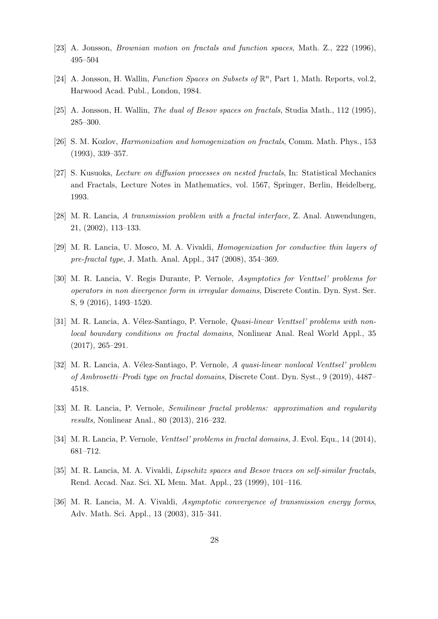- <span id="page-27-11"></span>[23] A. Jonsson, Brownian motion on fractals and function spaces, Math. Z., 222 (1996), 495–504
- <span id="page-27-8"></span>[24] A. Jonsson, H. Wallin, Function Spaces on Subsets of  $\mathbb{R}^n$ , Part 1, Math. Reports, vol.2, Harwood Acad. Publ., London, 1984.
- <span id="page-27-10"></span>[25] A. Jonsson, H. Wallin, *The dual of Besov spaces on fractals*, Studia Math., 112 (1995), 285–300.
- <span id="page-27-12"></span>[26] S. M. Kozlov, Harmonization and homogenization on fractals, Comm. Math. Phys., 153 (1993), 339–357.
- <span id="page-27-13"></span>[27] S. Kusuoka, Lecture on diffusion processes on nested fractals, In: Statistical Mechanics and Fractals, Lecture Notes in Mathematics, vol. 1567, Springer, Berlin, Heidelberg, 1993.
- <span id="page-27-0"></span>[28] M. R. Lancia, A transmission problem with a fractal interface, Z. Anal. Anwendungen, 21, (2002), 113–133.
- <span id="page-27-7"></span>[29] M. R. Lancia, U. Mosco, M. A. Vivaldi, Homogenization for conductive thin layers of pre-fractal type, J. Math. Anal. Appl., 347 (2008), 354–369.
- <span id="page-27-3"></span>[30] M. R. Lancia, V. Regis Durante, P. Vernole, Asymptotics for Venttsel' problems for operators in non divergence form in irregular domains, Discrete Contin. Dyn. Syst. Ser. S, 9 (2016), 1493–1520.
- <span id="page-27-5"></span>[31] M. R. Lancia, A. Vélez-Santiago, P. Vernole, *Quasi-linear Venttsel' problems with non*local boundary conditions on fractal domains, Nonlinear Anal. Real World Appl., 35 (2017), 265–291.
- <span id="page-27-6"></span>[32] M. R. Lancia, A. Vélez-Santiago, P. Vernole, A quasi-linear nonlocal Venttsel' problem of Ambrosetti–Prodi type on fractal domains, Discrete Cont. Dyn. Syst., 9 (2019), 4487– 4518.
- <span id="page-27-9"></span>[33] M. R. Lancia, P. Vernole, Semilinear fractal problems: approximation and regularity results, Nonlinear Anal., 80 (2013), 216–232.
- <span id="page-27-4"></span>[34] M. R. Lancia, P. Vernole, Venttsel' problems in fractal domains, J. Evol. Equ., 14 (2014), 681–712.
- <span id="page-27-2"></span>[35] M. R. Lancia, M. A. Vivaldi, *Lipschitz spaces and Besov traces on self-similar fractals*, Rend. Accad. Naz. Sci. XL Mem. Mat. Appl., 23 (1999), 101–116.
- <span id="page-27-1"></span>[36] M. R. Lancia, M. A. Vivaldi, Asymptotic convergence of transmission energy forms, Adv. Math. Sci. Appl., 13 (2003), 315–341.